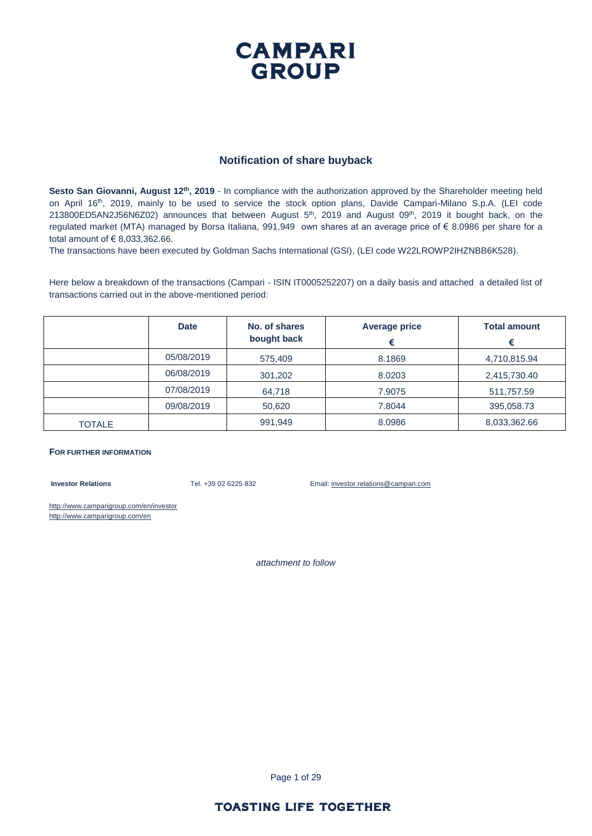### **CAMPARI GROUP**

#### **Notification of share buyback**

**Sesto San Giovanni, August 12th, 2019** - In compliance with the authorization approved by the Shareholder meeting held on April 16th, 2019, mainly to be used to service the stock option plans, Davide Campari-Milano S.p.A. (LEI code 213800ED5AN2J56N6Z02) announces that between August 5<sup>th</sup>, 2019 and August 09<sup>th</sup>, 2019 it bought back, on the regulated market (MTA) managed by Borsa Italiana, 991,949 own shares at an average price of € 8.0986 per share for a total amount of € 8,033,362.66.

The transactions have been executed by Goldman Sachs International (GSI), (LEI code W22LROWP2IHZNBB6K528).

Here below a breakdown of the transactions (Campari - ISIN IT0005252207) on a daily basis and attached a detailed list of transactions carried out in the above-mentioned period:

|               | <b>Date</b> | No. of shares<br>bought back | <b>Average price</b><br>€ | <b>Total amount</b><br>€ |
|---------------|-------------|------------------------------|---------------------------|--------------------------|
|               | 05/08/2019  | 575,409                      | 8.1869                    | 4,710,815.94             |
|               | 06/08/2019  | 301,202                      | 8.0203                    | 2,415,730.40             |
|               | 07/08/2019  | 64,718                       | 7.9075                    | 511,757.59               |
|               | 09/08/2019  | 50,620                       | 7.8044                    | 395,058.73               |
| <b>TOTALE</b> |             | 991,949                      | 8.0986                    | 8,033,362.66             |

#### **FOR FURTHER INFORMATION**

**Investor Relations** Tel. +39 02 6225 832 Email: investor.relations@campari.com

http://www.camparigroup.com/en/investor http://www.camparigroup.com/en

*attachment to follow*

Page 1 of 29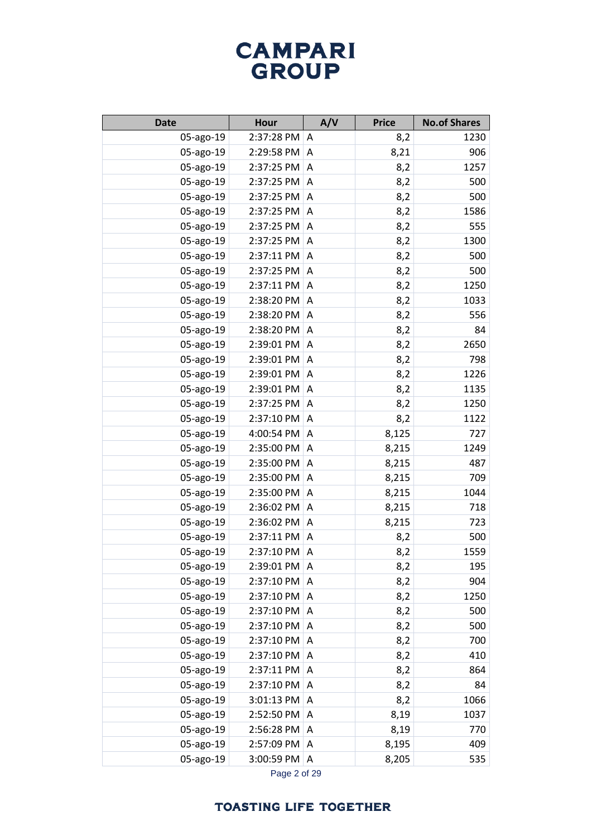| <b>Date</b> | <b>Hour</b>  | A/V            | <b>Price</b> | <b>No.of Shares</b> |
|-------------|--------------|----------------|--------------|---------------------|
| 05-ago-19   | 2:37:28 PM   | A              | 8,2          | 1230                |
| 05-ago-19   | 2:29:58 PM   | A              | 8,21         | 906                 |
| 05-ago-19   | 2:37:25 PM   | $\overline{A}$ | 8,2          | 1257                |
| 05-ago-19   | 2:37:25 PM   | A              | 8,2          | 500                 |
| 05-ago-19   | 2:37:25 PM   | A              | 8,2          | 500                 |
| 05-ago-19   | 2:37:25 PM   | Α              | 8,2          | 1586                |
| 05-ago-19   | 2:37:25 PM   | A              | 8,2          | 555                 |
| 05-ago-19   | 2:37:25 PM   | A              | 8,2          | 1300                |
| 05-ago-19   | 2:37:11 PM   | A              | 8,2          | 500                 |
| 05-ago-19   | 2:37:25 PM   | A              | 8,2          | 500                 |
| 05-ago-19   | 2:37:11 PM   | Α              | 8,2          | 1250                |
| 05-ago-19   | 2:38:20 PM   | Α              | 8,2          | 1033                |
| 05-ago-19   | 2:38:20 PM   | Α              | 8,2          | 556                 |
| 05-ago-19   | 2:38:20 PM   | Α              | 8,2          | 84                  |
| 05-ago-19   | 2:39:01 PM   | Α              | 8,2          | 2650                |
| 05-ago-19   | 2:39:01 PM   | Α              | 8,2          | 798                 |
| 05-ago-19   | 2:39:01 PM   | Α              | 8,2          | 1226                |
| 05-ago-19   | 2:39:01 PM   | Α              | 8,2          | 1135                |
| 05-ago-19   | 2:37:25 PM   | Α              | 8,2          | 1250                |
| 05-ago-19   | 2:37:10 PM   | A              | 8,2          | 1122                |
| 05-ago-19   | 4:00:54 PM   | Α              | 8,125        | 727                 |
| 05-ago-19   | 2:35:00 PM   | A              | 8,215        | 1249                |
| 05-ago-19   | 2:35:00 PM   | Α              | 8,215        | 487                 |
| 05-ago-19   | 2:35:00 PM   | A              | 8,215        | 709                 |
| 05-ago-19   | 2:35:00 PM   | Α              | 8,215        | 1044                |
| 05-ago-19   | 2:36:02 PM   | A              | 8,215        | 718                 |
| 05-ago-19   | 2:36:02 PM   | A              | 8,215        | 723                 |
| 05-ago-19   | 2:37:11 PM   | A              | 8,2          | 500                 |
| 05-ago-19   | 2:37:10 PM   | Α              | 8,2          | 1559                |
| 05-ago-19   | 2:39:01 PM   | A              | 8,2          | 195                 |
| 05-ago-19   | 2:37:10 PM   | A              | 8,2          | 904                 |
| 05-ago-19   | 2:37:10 PM   | A              | 8,2          | 1250                |
| 05-ago-19   | 2:37:10 PM   | A              | 8,2          | 500                 |
| 05-ago-19   | 2:37:10 PM   | A              | 8,2          | 500                 |
| 05-ago-19   | 2:37:10 PM   | A              | 8,2          | 700                 |
| 05-ago-19   | 2:37:10 PM   | $\overline{A}$ | 8,2          | 410                 |
| 05-ago-19   | $2:37:11$ PM | A              | 8,2          | 864                 |
| 05-ago-19   | 2:37:10 PM   | A              | 8,2          | 84                  |
| 05-ago-19   | 3:01:13 PM   | A              | 8,2          | 1066                |
| 05-ago-19   | 2:52:50 PM   | A              | 8,19         | 1037                |
| 05-ago-19   | 2:56:28 PM   | Α              | 8,19         | 770                 |
| 05-ago-19   | 2:57:09 PM   | A              | 8,195        | 409                 |
| 05-ago-19   | 3:00:59 PM   | Α              | 8,205        | 535                 |

Page 2 of 29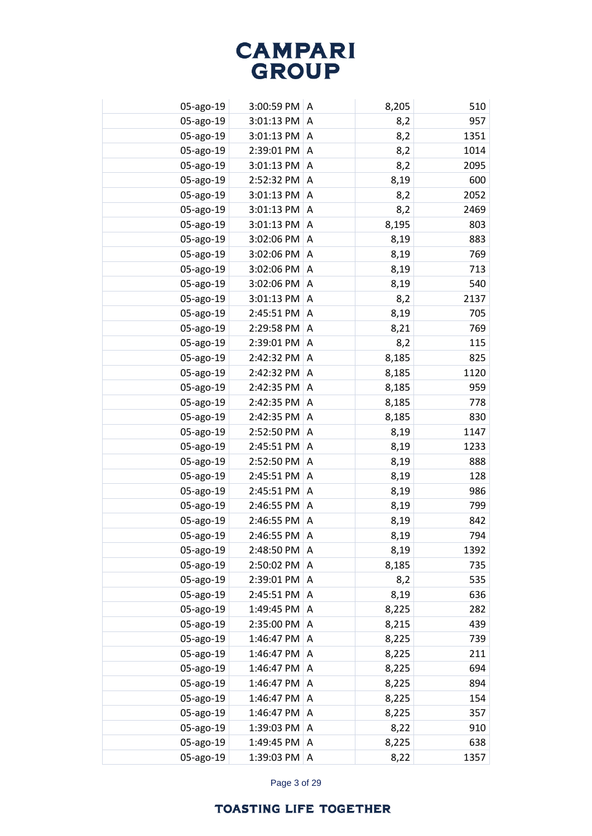| 05-ago-19 | 3:00:59 PM | A | 8,205 | 510  |
|-----------|------------|---|-------|------|
| 05-ago-19 | 3:01:13 PM | A | 8,2   | 957  |
| 05-ago-19 | 3:01:13 PM | A | 8,2   | 1351 |
| 05-ago-19 | 2:39:01 PM | A | 8,2   | 1014 |
| 05-ago-19 | 3:01:13 PM | A | 8,2   | 2095 |
| 05-ago-19 | 2:52:32 PM | A | 8,19  | 600  |
| 05-ago-19 | 3:01:13 PM | A | 8,2   | 2052 |
| 05-ago-19 | 3:01:13 PM | Α | 8,2   | 2469 |
| 05-ago-19 | 3:01:13 PM | Α | 8,195 | 803  |
| 05-ago-19 | 3:02:06 PM | Α | 8,19  | 883  |
| 05-ago-19 | 3:02:06 PM | A | 8,19  | 769  |
| 05-ago-19 | 3:02:06 PM | Α | 8,19  | 713  |
| 05-ago-19 | 3:02:06 PM | A | 8,19  | 540  |
| 05-ago-19 | 3:01:13 PM | Α | 8,2   | 2137 |
| 05-ago-19 | 2:45:51 PM | A | 8,19  | 705  |
| 05-ago-19 | 2:29:58 PM | Α | 8,21  | 769  |
| 05-ago-19 | 2:39:01 PM | A | 8,2   | 115  |
| 05-ago-19 | 2:42:32 PM | Α | 8,185 | 825  |
| 05-ago-19 | 2:42:32 PM | A | 8,185 | 1120 |
| 05-ago-19 | 2:42:35 PM | A | 8,185 | 959  |
| 05-ago-19 | 2:42:35 PM | A | 8,185 | 778  |
| 05-ago-19 | 2:42:35 PM | A | 8,185 | 830  |
| 05-ago-19 | 2:52:50 PM | A | 8,19  | 1147 |
| 05-ago-19 | 2:45:51 PM | A | 8,19  | 1233 |
| 05-ago-19 | 2:52:50 PM | A | 8,19  | 888  |
| 05-ago-19 | 2:45:51 PM | Α | 8,19  | 128  |
| 05-ago-19 | 2:45:51 PM | A | 8,19  | 986  |
| 05-ago-19 | 2:46:55 PM | A | 8,19  | 799  |
| 05-ago-19 | 2:46:55 PM | A | 8,19  | 842  |
| 05-ago-19 | 2:46:55 PM | A | 8,19  | 794  |
| 05-ago-19 | 2:48:50 PM | A | 8,19  | 1392 |
| 05-ago-19 | 2:50:02 PM | A | 8,185 | 735  |
| 05-ago-19 | 2:39:01 PM | A | 8,2   | 535  |
| 05-ago-19 | 2:45:51 PM | A | 8,19  | 636  |
| 05-ago-19 | 1:49:45 PM | Α | 8,225 | 282  |
| 05-ago-19 | 2:35:00 PM | A | 8,215 | 439  |
| 05-ago-19 | 1:46:47 PM | Α | 8,225 | 739  |
| 05-ago-19 | 1:46:47 PM | A | 8,225 | 211  |
| 05-ago-19 | 1:46:47 PM | A | 8,225 | 694  |
| 05-ago-19 | 1:46:47 PM | Α | 8,225 | 894  |
| 05-ago-19 | 1:46:47 PM | Α | 8,225 | 154  |
| 05-ago-19 | 1:46:47 PM | A | 8,225 | 357  |
| 05-ago-19 | 1:39:03 PM | Α | 8,22  | 910  |
| 05-ago-19 | 1:49:45 PM | Α | 8,225 | 638  |
| 05-ago-19 | 1:39:03 PM | Α | 8,22  | 1357 |

Page 3 of 29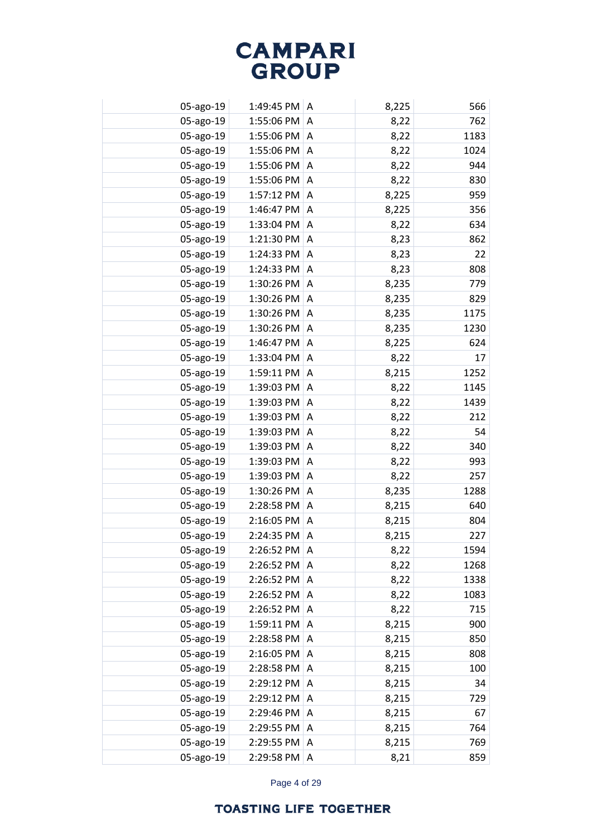| 05-ago-19 | 1:49:45 PM | A | 8,225 | 566  |
|-----------|------------|---|-------|------|
| 05-ago-19 | 1:55:06 PM | A | 8,22  | 762  |
| 05-ago-19 | 1:55:06 PM | A | 8,22  | 1183 |
| 05-ago-19 | 1:55:06 PM | A | 8,22  | 1024 |
| 05-ago-19 | 1:55:06 PM | A | 8,22  | 944  |
| 05-ago-19 | 1:55:06 PM | A | 8,22  | 830  |
| 05-ago-19 | 1:57:12 PM | A | 8,225 | 959  |
| 05-ago-19 | 1:46:47 PM | Α | 8,225 | 356  |
| 05-ago-19 | 1:33:04 PM | Α | 8,22  | 634  |
| 05-ago-19 | 1:21:30 PM | Α | 8,23  | 862  |
| 05-ago-19 | 1:24:33 PM | A | 8,23  | 22   |
| 05-ago-19 | 1:24:33 PM | Α | 8,23  | 808  |
| 05-ago-19 | 1:30:26 PM | A | 8,235 | 779  |
| 05-ago-19 | 1:30:26 PM | A | 8,235 | 829  |
| 05-ago-19 | 1:30:26 PM | A | 8,235 | 1175 |
| 05-ago-19 | 1:30:26 PM | Α | 8,235 | 1230 |
| 05-ago-19 | 1:46:47 PM | A | 8,225 | 624  |
| 05-ago-19 | 1:33:04 PM | Α | 8,22  | 17   |
| 05-ago-19 | 1:59:11 PM | A | 8,215 | 1252 |
| 05-ago-19 | 1:39:03 PM | A | 8,22  | 1145 |
| 05-ago-19 | 1:39:03 PM | A | 8,22  | 1439 |
| 05-ago-19 | 1:39:03 PM | A | 8,22  | 212  |
| 05-ago-19 | 1:39:03 PM | A | 8,22  | 54   |
| 05-ago-19 | 1:39:03 PM | A | 8,22  | 340  |
| 05-ago-19 | 1:39:03 PM | A | 8,22  | 993  |
| 05-ago-19 | 1:39:03 PM | A | 8,22  | 257  |
| 05-ago-19 | 1:30:26 PM | A | 8,235 | 1288 |
| 05-ago-19 | 2:28:58 PM | A | 8,215 | 640  |
| 05-ago-19 | 2:16:05 PM | A | 8,215 | 804  |
| 05-ago-19 | 2:24:35 PM | A | 8,215 | 227  |
| 05-ago-19 | 2:26:52 PM | A | 8,22  | 1594 |
| 05-ago-19 | 2:26:52 PM | A | 8,22  | 1268 |
| 05-ago-19 | 2:26:52 PM | A | 8,22  | 1338 |
| 05-ago-19 | 2:26:52 PM | A | 8,22  | 1083 |
| 05-ago-19 | 2:26:52 PM | Α | 8,22  | 715  |
| 05-ago-19 | 1:59:11 PM | A | 8,215 | 900  |
| 05-ago-19 | 2:28:58 PM | Α | 8,215 | 850  |
| 05-ago-19 | 2:16:05 PM | A | 8,215 | 808  |
| 05-ago-19 | 2:28:58 PM | A | 8,215 | 100  |
| 05-ago-19 | 2:29:12 PM | Α | 8,215 | 34   |
| 05-ago-19 | 2:29:12 PM | Α | 8,215 | 729  |
| 05-ago-19 | 2:29:46 PM | Α | 8,215 | 67   |
| 05-ago-19 | 2:29:55 PM | Α | 8,215 | 764  |
| 05-ago-19 | 2:29:55 PM | Α | 8,215 | 769  |
| 05-ago-19 | 2:29:58 PM | Α | 8,21  | 859  |

Page 4 of 29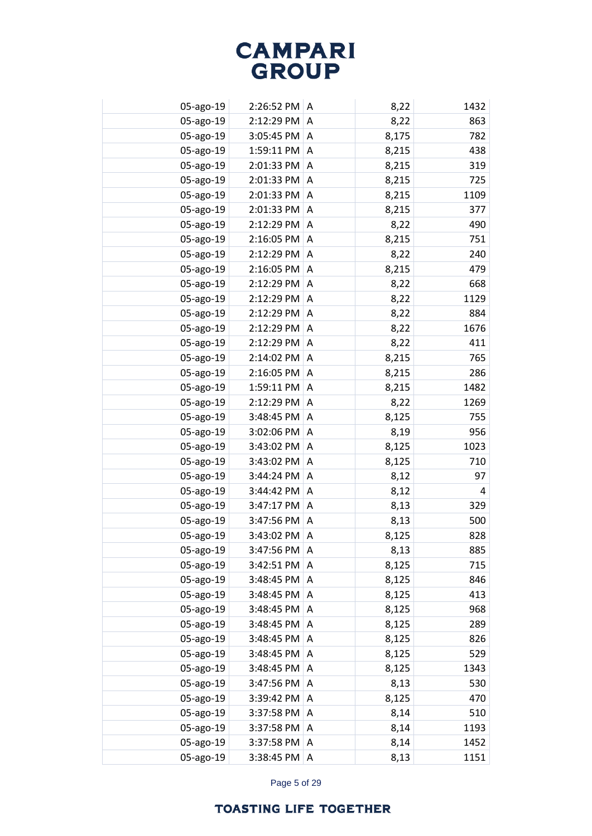| 05-ago-19 | 2:26:52 PM A |   | 8,22  | 1432 |
|-----------|--------------|---|-------|------|
| 05-ago-19 | 2:12:29 PM   | A | 8,22  | 863  |
| 05-ago-19 | 3:05:45 PM A |   | 8,175 | 782  |
| 05-ago-19 | 1:59:11 PM   | A | 8,215 | 438  |
| 05-ago-19 | 2:01:33 PM   | A | 8,215 | 319  |
| 05-ago-19 | 2:01:33 PM   | A | 8,215 | 725  |
| 05-ago-19 | 2:01:33 PM   | A | 8,215 | 1109 |
| 05-ago-19 | 2:01:33 PM   | A | 8,215 | 377  |
| 05-ago-19 | 2:12:29 PM   | A | 8,22  | 490  |
| 05-ago-19 | 2:16:05 PM   | A | 8,215 | 751  |
| 05-ago-19 | 2:12:29 PM   | A | 8,22  | 240  |
| 05-ago-19 | 2:16:05 PM   | Α | 8,215 | 479  |
| 05-ago-19 | 2:12:29 PM   | A | 8,22  | 668  |
| 05-ago-19 | 2:12:29 PM   | Α | 8,22  | 1129 |
| 05-ago-19 | 2:12:29 PM   | A | 8,22  | 884  |
| 05-ago-19 | 2:12:29 PM   | Α | 8,22  | 1676 |
| 05-ago-19 | 2:12:29 PM   | A | 8,22  | 411  |
| 05-ago-19 | 2:14:02 PM   | A | 8,215 | 765  |
| 05-ago-19 | 2:16:05 PM   | A | 8,215 | 286  |
| 05-ago-19 | 1:59:11 PM   | Α | 8,215 | 1482 |
| 05-ago-19 | 2:12:29 PM   | A | 8,22  | 1269 |
| 05-ago-19 | 3:48:45 PM   | Α | 8,125 | 755  |
| 05-ago-19 | 3:02:06 PM   | A | 8,19  | 956  |
| 05-ago-19 | 3:43:02 PM   | Α | 8,125 | 1023 |
| 05-ago-19 | 3:43:02 PM   | A | 8,125 | 710  |
| 05-ago-19 | 3:44:24 PM   | A | 8,12  | 97   |
| 05-ago-19 | 3:44:42 PM   | A | 8,12  | 4    |
| 05-ago-19 | 3:47:17 PM   | A | 8,13  | 329  |
| 05-ago-19 | 3:47:56 PM   | A | 8,13  | 500  |
| 05-ago-19 | 3:43:02 PM   | A | 8,125 | 828  |
| 05-ago-19 | 3:47:56 PM   | A | 8,13  | 885  |
| 05-ago-19 | 3:42:51 PM   | A | 8,125 | 715  |
| 05-ago-19 | 3:48:45 PM   | A | 8,125 | 846  |
| 05-ago-19 | 3:48:45 PM   | A | 8,125 | 413  |
| 05-ago-19 | 3:48:45 PM   | A | 8,125 | 968  |
| 05-ago-19 | 3:48:45 PM   | A | 8,125 | 289  |
| 05-ago-19 | 3:48:45 PM   | A | 8,125 | 826  |
| 05-ago-19 | 3:48:45 PM   | A | 8,125 | 529  |
| 05-ago-19 | 3:48:45 PM   | Α | 8,125 | 1343 |
| 05-ago-19 | 3:47:56 PM   | Α | 8,13  | 530  |
| 05-ago-19 | 3:39:42 PM   | Α | 8,125 | 470  |
| 05-ago-19 | 3:37:58 PM   | A | 8,14  | 510  |
| 05-ago-19 | 3:37:58 PM   | Α | 8,14  | 1193 |
| 05-ago-19 | 3:37:58 PM   | Α | 8,14  | 1452 |
| 05-ago-19 | 3:38:45 PM   | Α | 8,13  | 1151 |

Page 5 of 29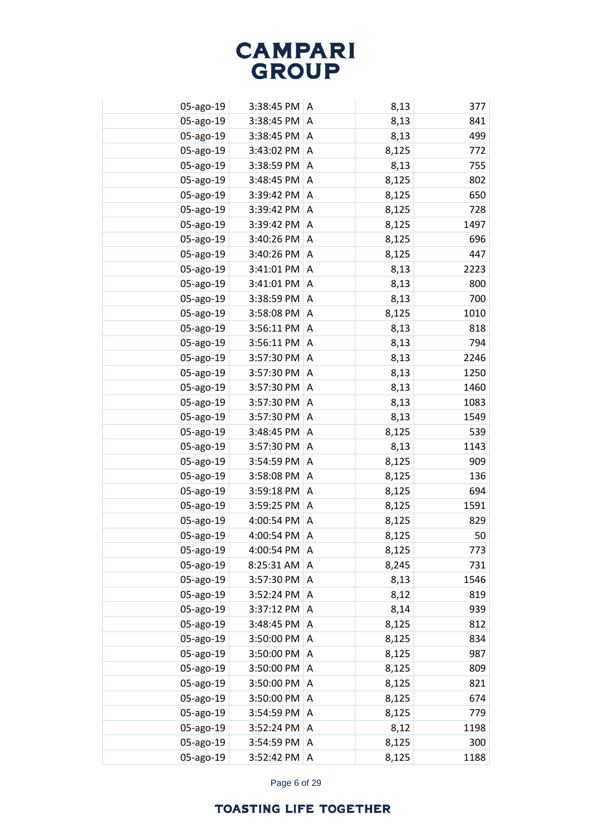| 05-ago-19 | $3:38:45$ PM $\mid$ A |   | 8,13  | 377  |
|-----------|-----------------------|---|-------|------|
| 05-ago-19 | 3:38:45 PM            | A | 8,13  | 841  |
| 05-ago-19 | $3:38:45$ PM $\mid$ A |   | 8,13  | 499  |
| 05-ago-19 | 3:43:02 PM            | A | 8,125 | 772  |
| 05-ago-19 | 3:38:59 PM            | A | 8,13  | 755  |
| 05-ago-19 | 3:48:45 PM            | A | 8,125 | 802  |
| 05-ago-19 | 3:39:42 PM            | A | 8,125 | 650  |
| 05-ago-19 | 3:39:42 PM            | A | 8,125 | 728  |
| 05-ago-19 | 3:39:42 PM            | A | 8,125 | 1497 |
| 05-ago-19 | 3:40:26 PM            | A | 8,125 | 696  |
| 05-ago-19 | 3:40:26 PM            | A | 8,125 | 447  |
| 05-ago-19 | 3:41:01 PM            | Α | 8,13  | 2223 |
| 05-ago-19 | 3:41:01 PM            | A | 8,13  | 800  |
| 05-ago-19 | 3:38:59 PM            | Α | 8,13  | 700  |
| 05-ago-19 | 3:58:08 PM            | A | 8,125 | 1010 |
| 05-ago-19 | 3:56:11 PM            | Α | 8,13  | 818  |
| 05-ago-19 | 3:56:11 PM            | A | 8,13  | 794  |
| 05-ago-19 | 3:57:30 PM            | Α | 8,13  | 2246 |
| 05-ago-19 | 3:57:30 PM            | A | 8,13  | 1250 |
| 05-ago-19 | 3:57:30 PM            | Α | 8,13  | 1460 |
| 05-ago-19 | 3:57:30 PM            | A | 8,13  | 1083 |
| 05-ago-19 | 3:57:30 PM            | Α | 8,13  | 1549 |
| 05-ago-19 | 3:48:45 PM            | A | 8,125 | 539  |
| 05-ago-19 | 3:57:30 PM            | Α | 8,13  | 1143 |
| 05-ago-19 | 3:54:59 PM            | A | 8,125 | 909  |
| 05-ago-19 | 3:58:08 PM            | A | 8,125 | 136  |
| 05-ago-19 | 3:59:18 PM            | A | 8,125 | 694  |
| 05-ago-19 | 3:59:25 PM            | A | 8,125 | 1591 |
| 05-ago-19 | 4:00:54 PM            | A | 8,125 | 829  |
| 05-ago-19 | 4:00:54 PM            | A | 8,125 | 50   |
| 05-ago-19 | 4:00:54 PM            | A | 8,125 | 773  |
| 05-ago-19 | 8:25:31 AM            | A | 8,245 | 731  |
| 05-ago-19 | 3:57:30 PM            | A | 8,13  | 1546 |
| 05-ago-19 | 3:52:24 PM            | A | 8,12  | 819  |
| 05-ago-19 | 3:37:12 PM            | A | 8,14  | 939  |
| 05-ago-19 | 3:48:45 PM            | A | 8,125 | 812  |
| 05-ago-19 | 3:50:00 PM            | A | 8,125 | 834  |
| 05-ago-19 | 3:50:00 PM            | A | 8,125 | 987  |
| 05-ago-19 | 3:50:00 PM            | Α | 8,125 | 809  |
| 05-ago-19 | 3:50:00 PM            | Α | 8,125 | 821  |
| 05-ago-19 | 3:50:00 PM            | Α | 8,125 | 674  |
| 05-ago-19 | 3:54:59 PM            | Α | 8,125 | 779  |
| 05-ago-19 | 3:52:24 PM            | Α | 8,12  | 1198 |
| 05-ago-19 | 3:54:59 PM            | Α | 8,125 | 300  |
| 05-ago-19 | 3:52:42 PM            | Α | 8,125 | 1188 |

Page 6 of 29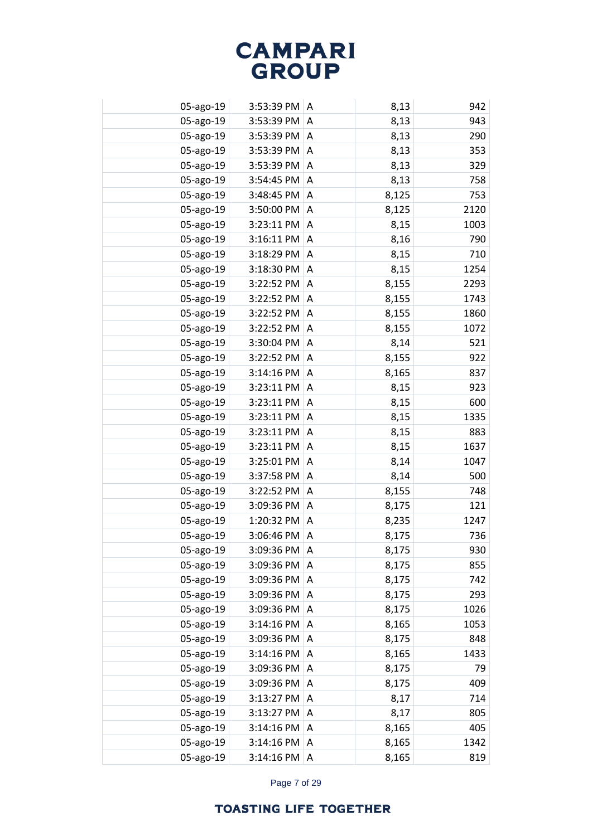| 05-ago-19 | 3:53:39 PM A |   | 8,13  | 942  |
|-----------|--------------|---|-------|------|
| 05-ago-19 | 3:53:39 PM   | A | 8,13  | 943  |
| 05-ago-19 | 3:53:39 PM A |   | 8,13  | 290  |
| 05-ago-19 | 3:53:39 PM   | A | 8,13  | 353  |
| 05-ago-19 | 3:53:39 PM   | A | 8,13  | 329  |
| 05-ago-19 | 3:54:45 PM   | Α | 8,13  | 758  |
| 05-ago-19 | 3:48:45 PM   | A | 8,125 | 753  |
| 05-ago-19 | 3:50:00 PM   | A | 8,125 | 2120 |
| 05-ago-19 | 3:23:11 PM   | A | 8,15  | 1003 |
| 05-ago-19 | 3:16:11 PM   | A | 8,16  | 790  |
| 05-ago-19 | 3:18:29 PM   | A | 8,15  | 710  |
| 05-ago-19 | 3:18:30 PM   | Α | 8,15  | 1254 |
| 05-ago-19 | 3:22:52 PM   | Α | 8,155 | 2293 |
| 05-ago-19 | 3:22:52 PM   | Α | 8,155 | 1743 |
| 05-ago-19 | 3:22:52 PM   | A | 8,155 | 1860 |
| 05-ago-19 | 3:22:52 PM   | Α | 8,155 | 1072 |
| 05-ago-19 | 3:30:04 PM   | A | 8,14  | 521  |
| 05-ago-19 | 3:22:52 PM   | Α | 8,155 | 922  |
| 05-ago-19 | 3:14:16 PM   | A | 8,165 | 837  |
| 05-ago-19 | 3:23:11 PM   | Α | 8,15  | 923  |
| 05-ago-19 | 3:23:11 PM   | A | 8,15  | 600  |
| 05-ago-19 | 3:23:11 PM   | Α | 8,15  | 1335 |
| 05-ago-19 | 3:23:11 PM   | A | 8,15  | 883  |
| 05-ago-19 | 3:23:11 PM   | Α | 8,15  | 1637 |
| 05-ago-19 | 3:25:01 PM   | A | 8,14  | 1047 |
| 05-ago-19 | 3:37:58 PM   | A | 8,14  | 500  |
| 05-ago-19 | 3:22:52 PM   | A | 8,155 | 748  |
| 05-ago-19 | 3:09:36 PM   | A | 8,175 | 121  |
| 05-ago-19 | 1:20:32 PM   | A | 8,235 | 1247 |
| 05-ago-19 | 3:06:46 PM   | A | 8,175 | 736  |
| 05-ago-19 | 3:09:36 PM   | A | 8,175 | 930  |
| 05-ago-19 | 3:09:36 PM   | A | 8,175 | 855  |
| 05-ago-19 | 3:09:36 PM   | A | 8,175 | 742  |
| 05-ago-19 | 3:09:36 PM   | A | 8,175 | 293  |
| 05-ago-19 | 3:09:36 PM   | A | 8,175 | 1026 |
| 05-ago-19 | 3:14:16 PM   | A | 8,165 | 1053 |
| 05-ago-19 | 3:09:36 PM   | Α | 8,175 | 848  |
| 05-ago-19 | 3:14:16 PM   | A | 8,165 | 1433 |
| 05-ago-19 | 3:09:36 PM   | Α | 8,175 | 79   |
| 05-ago-19 | 3:09:36 PM   | Α | 8,175 | 409  |
| 05-ago-19 | 3:13:27 PM   | Α | 8,17  | 714  |
| 05-ago-19 | 3:13:27 PM   | A | 8,17  | 805  |
| 05-ago-19 | 3:14:16 PM   | A | 8,165 | 405  |
| 05-ago-19 | 3:14:16 PM   | Α | 8,165 | 1342 |
| 05-ago-19 | 3:14:16 PM   | Α | 8,165 | 819  |

Page 7 of 29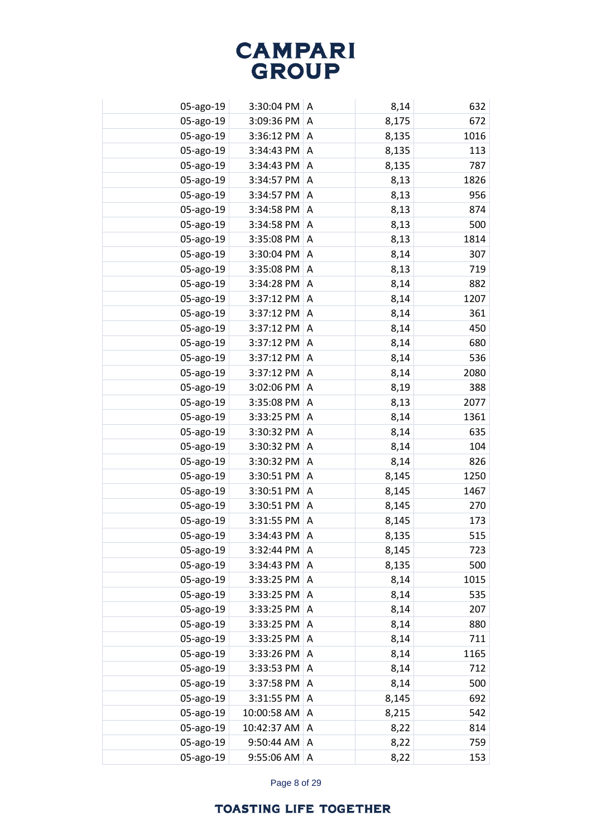| 05-ago-19 | 3:30:04 PM  | A | 8,14  | 632  |
|-----------|-------------|---|-------|------|
| 05-ago-19 | 3:09:36 PM  | A | 8,175 | 672  |
| 05-ago-19 | 3:36:12 PM  | A | 8,135 | 1016 |
| 05-ago-19 | 3:34:43 PM  | A | 8,135 | 113  |
| 05-ago-19 | 3:34:43 PM  | A | 8,135 | 787  |
| 05-ago-19 | 3:34:57 PM  | A | 8,13  | 1826 |
| 05-ago-19 | 3:34:57 PM  | A | 8,13  | 956  |
| 05-ago-19 | 3:34:58 PM  | Α | 8,13  | 874  |
| 05-ago-19 | 3:34:58 PM  | Α | 8,13  | 500  |
| 05-ago-19 | 3:35:08 PM  | Α | 8,13  | 1814 |
| 05-ago-19 | 3:30:04 PM  | Α | 8,14  | 307  |
| 05-ago-19 | 3:35:08 PM  | Α | 8,13  | 719  |
| 05-ago-19 | 3:34:28 PM  | A | 8,14  | 882  |
| 05-ago-19 | 3:37:12 PM  | Α | 8,14  | 1207 |
| 05-ago-19 | 3:37:12 PM  | Α | 8,14  | 361  |
| 05-ago-19 | 3:37:12 PM  | Α | 8,14  | 450  |
| 05-ago-19 | 3:37:12 PM  | A | 8,14  | 680  |
| 05-ago-19 | 3:37:12 PM  | Α | 8,14  | 536  |
| 05-ago-19 | 3:37:12 PM  | A | 8,14  | 2080 |
| 05-ago-19 | 3:02:06 PM  | A | 8,19  | 388  |
| 05-ago-19 | 3:35:08 PM  | A | 8,13  | 2077 |
| 05-ago-19 | 3:33:25 PM  | A | 8,14  | 1361 |
| 05-ago-19 | 3:30:32 PM  | A | 8,14  | 635  |
| 05-ago-19 | 3:30:32 PM  | A | 8,14  | 104  |
| 05-ago-19 | 3:30:32 PM  | A | 8,14  | 826  |
| 05-ago-19 | 3:30:51 PM  | Α | 8,145 | 1250 |
| 05-ago-19 | 3:30:51 PM  | A | 8,145 | 1467 |
| 05-ago-19 | 3:30:51 PM  | A | 8,145 | 270  |
| 05-ago-19 | 3:31:55 PM  | A | 8,145 | 173  |
| 05-ago-19 | 3:34:43 PM  | A | 8,135 | 515  |
| 05-ago-19 | 3:32:44 PM  | A | 8,145 | 723  |
| 05-ago-19 | 3:34:43 PM  | A | 8,135 | 500  |
| 05-ago-19 | 3:33:25 PM  | A | 8,14  | 1015 |
| 05-ago-19 | 3:33:25 PM  | A | 8,14  | 535  |
| 05-ago-19 | 3:33:25 PM  | Α | 8,14  | 207  |
| 05-ago-19 | 3:33:25 PM  | A | 8,14  | 880  |
| 05-ago-19 | 3:33:25 PM  | Α | 8,14  | 711  |
| 05-ago-19 | 3:33:26 PM  | A | 8,14  | 1165 |
| 05-ago-19 | 3:33:53 PM  | Α | 8,14  | 712  |
| 05-ago-19 | 3:37:58 PM  | Α | 8,14  | 500  |
| 05-ago-19 | 3:31:55 PM  | Α | 8,145 | 692  |
| 05-ago-19 | 10:00:58 AM | Α | 8,215 | 542  |
| 05-ago-19 | 10:42:37 AM | Α | 8,22  | 814  |
| 05-ago-19 | 9:50:44 AM  | Α | 8,22  | 759  |
| 05-ago-19 | 9:55:06 AM  | Α | 8,22  | 153  |

Page 8 of 29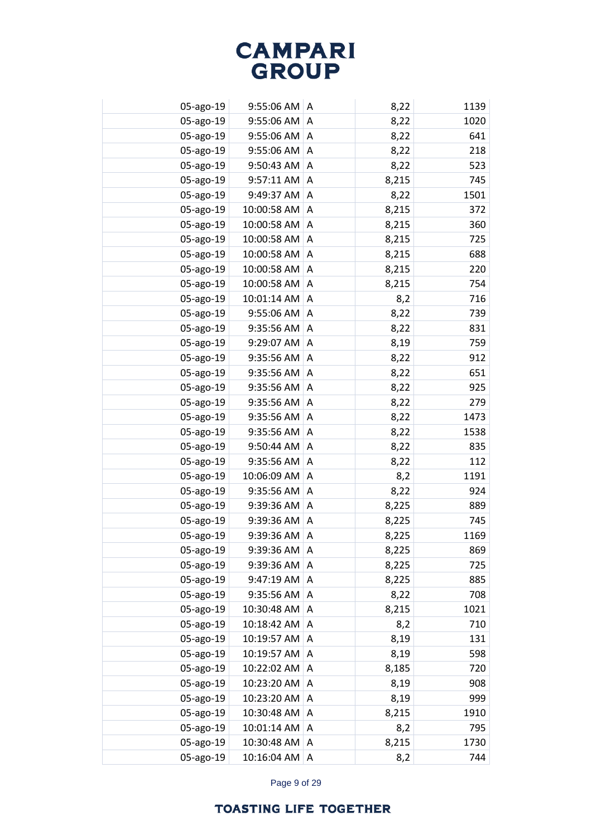| 05-ago-19 | $9:55:06$ AM   A |   | 8,22  | 1139 |
|-----------|------------------|---|-------|------|
| 05-ago-19 | 9:55:06 AM       | A | 8,22  | 1020 |
| 05-ago-19 | $9:55:06$ AM   A |   | 8,22  | 641  |
| 05-ago-19 | 9:55:06 AM       | A | 8,22  | 218  |
| 05-ago-19 | 9:50:43 AM       | A | 8,22  | 523  |
| 05-ago-19 | 9:57:11 AM       | A | 8,215 | 745  |
| 05-ago-19 | 9:49:37 AM       | A | 8,22  | 1501 |
| 05-ago-19 | 10:00:58 AM      | A | 8,215 | 372  |
| 05-ago-19 | 10:00:58 AM      | A | 8,215 | 360  |
| 05-ago-19 | 10:00:58 AM      | A | 8,215 | 725  |
| 05-ago-19 | 10:00:58 AM      | A | 8,215 | 688  |
| 05-ago-19 | 10:00:58 AM      | A | 8,215 | 220  |
| 05-ago-19 | 10:00:58 AM      | A | 8,215 | 754  |
| 05-ago-19 | 10:01:14 AM      | Α | 8,2   | 716  |
| 05-ago-19 | 9:55:06 AM       | A | 8,22  | 739  |
| 05-ago-19 | 9:35:56 AM       | Α | 8,22  | 831  |
| 05-ago-19 | 9:29:07 AM       | A | 8,19  | 759  |
| 05-ago-19 | 9:35:56 AM       | A | 8,22  | 912  |
| 05-ago-19 | 9:35:56 AM       | A | 8,22  | 651  |
| 05-ago-19 | 9:35:56 AM       | Α | 8,22  | 925  |
| 05-ago-19 | 9:35:56 AM       | A | 8,22  | 279  |
| 05-ago-19 | 9:35:56 AM       | Α | 8,22  | 1473 |
| 05-ago-19 | 9:35:56 AM       | A | 8,22  | 1538 |
| 05-ago-19 | 9:50:44 AM       | Α | 8,22  | 835  |
| 05-ago-19 | 9:35:56 AM       | A | 8,22  | 112  |
| 05-ago-19 | 10:06:09 AM      | A | 8,2   | 1191 |
| 05-ago-19 | 9:35:56 AM       | A | 8,22  | 924  |
| 05-ago-19 | 9:39:36 AM       | A | 8,225 | 889  |
| 05-ago-19 | 9:39:36 AM       | A | 8,225 | 745  |
| 05-ago-19 | 9:39:36 AM       | A | 8,225 | 1169 |
| 05-ago-19 | 9:39:36 AM       | A | 8,225 | 869  |
| 05-ago-19 | 9:39:36 AM       | Α | 8,225 | 725  |
| 05-ago-19 | 9:47:19 AM       | A | 8,225 | 885  |
| 05-ago-19 | 9:35:56 AM       | A | 8,22  | 708  |
| 05-ago-19 | 10:30:48 AM      | A | 8,215 | 1021 |
| 05-ago-19 | 10:18:42 AM      | A | 8,2   | 710  |
| 05-ago-19 | 10:19:57 AM      | A | 8,19  | 131  |
| 05-ago-19 | 10:19:57 AM      | A | 8,19  | 598  |
| 05-ago-19 | 10:22:02 AM      | Α | 8,185 | 720  |
| 05-ago-19 | 10:23:20 AM      | Α | 8,19  | 908  |
| 05-ago-19 | 10:23:20 AM      | Α | 8,19  | 999  |
| 05-ago-19 | 10:30:48 AM      | A | 8,215 | 1910 |
| 05-ago-19 | 10:01:14 AM      | Α | 8,2   | 795  |
| 05-ago-19 | 10:30:48 AM      | Α | 8,215 | 1730 |
| 05-ago-19 | 10:16:04 AM      | Α | 8,2   | 744  |

Page 9 of 29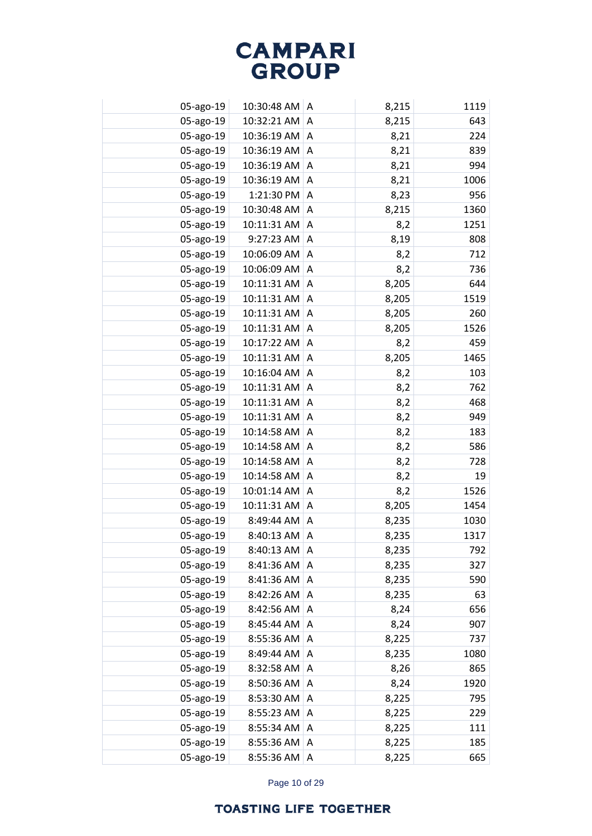| 05-ago-19 | 10:30:48 AM   A |   | 8,215 | 1119 |
|-----------|-----------------|---|-------|------|
| 05-ago-19 | 10:32:21 AM     | A | 8,215 | 643  |
| 05-ago-19 | 10:36:19 AM A   |   | 8,21  | 224  |
| 05-ago-19 | 10:36:19 AM     | A | 8,21  | 839  |
| 05-ago-19 | 10:36:19 AM     | A | 8,21  | 994  |
| 05-ago-19 | 10:36:19 AM     | A | 8,21  | 1006 |
| 05-ago-19 | 1:21:30 PM      | A | 8,23  | 956  |
| 05-ago-19 | 10:30:48 AM     | A | 8,215 | 1360 |
| 05-ago-19 | 10:11:31 AM     | A | 8,2   | 1251 |
| 05-ago-19 | 9:27:23 AM      | A | 8,19  | 808  |
| 05-ago-19 | 10:06:09 AM     | A | 8,2   | 712  |
| 05-ago-19 | 10:06:09 AM     | Α | 8,2   | 736  |
| 05-ago-19 | 10:11:31 AM     | Α | 8,205 | 644  |
| 05-ago-19 | 10:11:31 AM     | Α | 8,205 | 1519 |
| 05-ago-19 | 10:11:31 AM     | A | 8,205 | 260  |
| 05-ago-19 | 10:11:31 AM     | Α | 8,205 | 1526 |
| 05-ago-19 | 10:17:22 AM     | A | 8,2   | 459  |
| 05-ago-19 | 10:11:31 AM     | A | 8,205 | 1465 |
| 05-ago-19 | 10:16:04 AM     | A | 8,2   | 103  |
| 05-ago-19 | 10:11:31 AM     | Α | 8,2   | 762  |
| 05-ago-19 | 10:11:31 AM     | A | 8,2   | 468  |
| 05-ago-19 | 10:11:31 AM     | Α | 8,2   | 949  |
| 05-ago-19 | 10:14:58 AM     | A | 8,2   | 183  |
| 05-ago-19 | 10:14:58 AM     | Α | 8,2   | 586  |
| 05-ago-19 | 10:14:58 AM     | A | 8,2   | 728  |
| 05-ago-19 | 10:14:58 AM     | A | 8,2   | 19   |
| 05-ago-19 | 10:01:14 AM     | A | 8,2   | 1526 |
| 05-ago-19 | 10:11:31 AM     | A | 8,205 | 1454 |
| 05-ago-19 | 8:49:44 AM      | A | 8,235 | 1030 |
| 05-ago-19 | 8:40:13 AM      | A | 8,235 | 1317 |
| 05-ago-19 | 8:40:13 AM      | A | 8,235 | 792  |
| 05-ago-19 | 8:41:36 AM      | Α | 8,235 | 327  |
| 05-ago-19 | 8:41:36 AM      | A | 8,235 | 590  |
| 05-ago-19 | 8:42:26 AM      | A | 8,235 | 63   |
| 05-ago-19 | 8:42:56 AM      | A | 8,24  | 656  |
| 05-ago-19 | 8:45:44 AM      | A | 8,24  | 907  |
| 05-ago-19 | 8:55:36 AM      | A | 8,225 | 737  |
| 05-ago-19 | 8:49:44 AM      | A | 8,235 | 1080 |
| 05-ago-19 | 8:32:58 AM      | Α | 8,26  | 865  |
| 05-ago-19 | 8:50:36 AM      | Α | 8,24  | 1920 |
| 05-ago-19 | 8:53:30 AM      | Α | 8,225 | 795  |
| 05-ago-19 | 8:55:23 AM      | Α | 8,225 | 229  |
| 05-ago-19 | 8:55:34 AM      | Α | 8,225 | 111  |
| 05-ago-19 | 8:55:36 AM      | Α | 8,225 | 185  |
| 05-ago-19 | 8:55:36 AM      | Α | 8,225 | 665  |

Page 10 of 29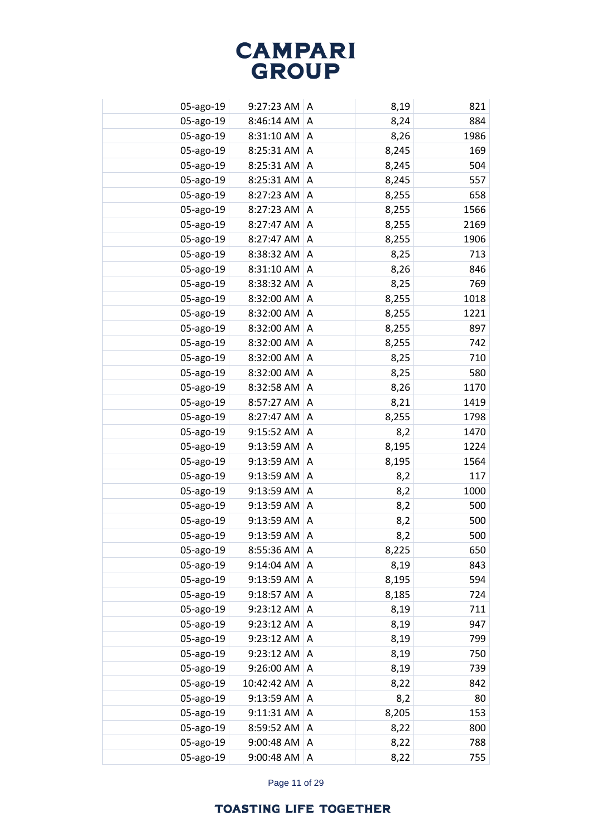| 05-ago-19 | $9:27:23$ AM A |   | 8,19  | 821  |
|-----------|----------------|---|-------|------|
| 05-ago-19 | 8:46:14 AM     | A | 8,24  | 884  |
| 05-ago-19 | 8:31:10 AM     | A | 8,26  | 1986 |
| 05-ago-19 | 8:25:31 AM     | A | 8,245 | 169  |
| 05-ago-19 | 8:25:31 AM     | A | 8,245 | 504  |
| 05-ago-19 | 8:25:31 AM     | A | 8,245 | 557  |
| 05-ago-19 | 8:27:23 AM     | A | 8,255 | 658  |
| 05-ago-19 | 8:27:23 AM     | A | 8,255 | 1566 |
| 05-ago-19 | 8:27:47 AM     | A | 8,255 | 2169 |
| 05-ago-19 | 8:27:47 AM     | A | 8,255 | 1906 |
| 05-ago-19 | 8:38:32 AM     | A | 8,25  | 713  |
| 05-ago-19 | 8:31:10 AM     | Α | 8,26  | 846  |
| 05-ago-19 | 8:38:32 AM     | Α | 8,25  | 769  |
| 05-ago-19 | 8:32:00 AM     | Α | 8,255 | 1018 |
| 05-ago-19 | 8:32:00 AM     | A | 8,255 | 1221 |
| 05-ago-19 | 8:32:00 AM     | Α | 8,255 | 897  |
| 05-ago-19 | 8:32:00 AM     | A | 8,255 | 742  |
| 05-ago-19 | 8:32:00 AM     | Α | 8,25  | 710  |
| 05-ago-19 | 8:32:00 AM     | A | 8,25  | 580  |
| 05-ago-19 | 8:32:58 AM     | Α | 8,26  | 1170 |
| 05-ago-19 | 8:57:27 AM     | A | 8,21  | 1419 |
| 05-ago-19 | 8:27:47 AM     | Α | 8,255 | 1798 |
| 05-ago-19 | 9:15:52 AM     | A | 8,2   | 1470 |
| 05-ago-19 | 9:13:59 AM     | Α | 8,195 | 1224 |
| 05-ago-19 | 9:13:59 AM     | A | 8,195 | 1564 |
| 05-ago-19 | 9:13:59 AM     | A | 8,2   | 117  |
| 05-ago-19 | 9:13:59 AM     | A | 8,2   | 1000 |
| 05-ago-19 | 9:13:59 AM     | A | 8,2   | 500  |
| 05-ago-19 | 9:13:59 AM     | A | 8,2   | 500  |
| 05-ago-19 | 9:13:59 AM     | A | 8,2   | 500  |
| 05-ago-19 | 8:55:36 AM     | A | 8,225 | 650  |
| 05-ago-19 | 9:14:04 AM     | Α | 8,19  | 843  |
| 05-ago-19 | 9:13:59 AM     | A | 8,195 | 594  |
| 05-ago-19 | 9:18:57 AM     | A | 8,185 | 724  |
| 05-ago-19 | 9:23:12 AM     | A | 8,19  | 711  |
| 05-ago-19 | 9:23:12 AM     | A | 8,19  | 947  |
| 05-ago-19 | 9:23:12 AM     | Α | 8,19  | 799  |
| 05-ago-19 | 9:23:12 AM     | A | 8,19  | 750  |
| 05-ago-19 | 9:26:00 AM     | A | 8,19  | 739  |
| 05-ago-19 | 10:42:42 AM    | Α | 8,22  | 842  |
| 05-ago-19 | 9:13:59 AM     | Α | 8,2   | 80   |
| 05-ago-19 | 9:11:31 AM     | Α | 8,205 | 153  |
| 05-ago-19 | 8:59:52 AM     | Α | 8,22  | 800  |
| 05-ago-19 | 9:00:48 AM     | Α | 8,22  | 788  |
| 05-ago-19 | 9:00:48 AM     | Α | 8,22  | 755  |
|           |                |   |       |      |

Page 11 of 29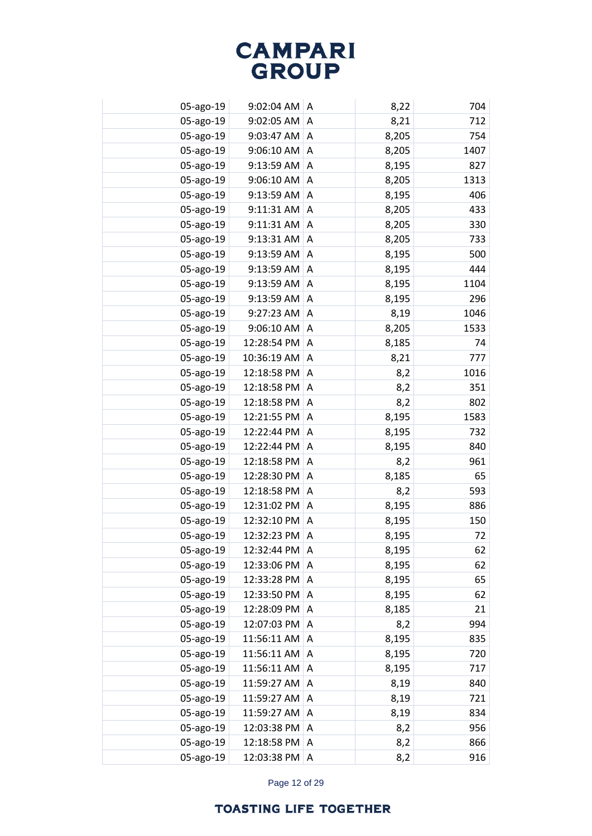| 05-ago-19 | 9:02:04 AM   A |   | 8,22  | 704  |
|-----------|----------------|---|-------|------|
| 05-ago-19 | 9:02:05 AM     | A | 8,21  | 712  |
| 05-ago-19 | 9:03:47 AM     | Α | 8,205 | 754  |
| 05-ago-19 | 9:06:10 AM     | A | 8,205 | 1407 |
| 05-ago-19 | 9:13:59 AM     | A | 8,195 | 827  |
| 05-ago-19 | 9:06:10 AM     | A | 8,205 | 1313 |
| 05-ago-19 | 9:13:59 AM     | A | 8,195 | 406  |
| 05-ago-19 | 9:11:31 AM     | A | 8,205 | 433  |
| 05-ago-19 | 9:11:31 AM     | A | 8,205 | 330  |
| 05-ago-19 | 9:13:31 AM     | A | 8,205 | 733  |
| 05-ago-19 | 9:13:59 AM     | A | 8,195 | 500  |
| 05-ago-19 | 9:13:59 AM     | A | 8,195 | 444  |
| 05-ago-19 | 9:13:59 AM     | Α | 8,195 | 1104 |
| 05-ago-19 | 9:13:59 AM     | A | 8,195 | 296  |
| 05-ago-19 | 9:27:23 AM     | A | 8,19  | 1046 |
| 05-ago-19 | 9:06:10 AM     | Α | 8,205 | 1533 |
| 05-ago-19 | 12:28:54 PM    | Α | 8,185 | 74   |
| 05-ago-19 | 10:36:19 AM    | Α | 8,21  | 777  |
| 05-ago-19 | 12:18:58 PM    | A | 8,2   | 1016 |
| 05-ago-19 | 12:18:58 PM    | Α | 8,2   | 351  |
| 05-ago-19 | 12:18:58 PM    | A | 8,2   | 802  |
| 05-ago-19 | 12:21:55 PM    | Α | 8,195 | 1583 |
| 05-ago-19 | 12:22:44 PM    | A | 8,195 | 732  |
| 05-ago-19 | 12:22:44 PM    | Α | 8,195 | 840  |
| 05-ago-19 | 12:18:58 PM    | A | 8,2   | 961  |
| 05-ago-19 | 12:28:30 PM    | Α | 8,185 | 65   |
| 05-ago-19 | 12:18:58 PM    | A | 8,2   | 593  |
| 05-ago-19 | 12:31:02 PM    | A | 8,195 | 886  |
| 05-ago-19 | 12:32:10 PM    | A | 8,195 | 150  |
| 05-ago-19 | 12:32:23 PM    | Α | 8,195 | 72   |
| 05-ago-19 | 12:32:44 PM    | A | 8,195 | 62   |
| 05-ago-19 | 12:33:06 PM    | Α | 8,195 | 62   |
| 05-ago-19 | 12:33:28 PM    | A | 8,195 | 65   |
| 05-ago-19 | 12:33:50 PM    | A | 8,195 | 62   |
| 05-ago-19 | 12:28:09 PM    | A | 8,185 | 21   |
| 05-ago-19 | 12:07:03 PM    | A | 8,2   | 994  |
| 05-ago-19 | 11:56:11 AM    | A | 8,195 | 835  |
| 05-ago-19 | 11:56:11 AM    | A | 8,195 | 720  |
| 05-ago-19 | 11:56:11 AM    | A | 8,195 | 717  |
| 05-ago-19 | 11:59:27 AM    | A | 8,19  | 840  |
| 05-ago-19 | 11:59:27 AM    | Α | 8,19  | 721  |
| 05-ago-19 | 11:59:27 AM    | A | 8,19  | 834  |
| 05-ago-19 | 12:03:38 PM    | A | 8,2   | 956  |
| 05-ago-19 | 12:18:58 PM    | A | 8,2   | 866  |
| 05-ago-19 | 12:03:38 PM    | Α | 8,2   | 916  |

Page 12 of 29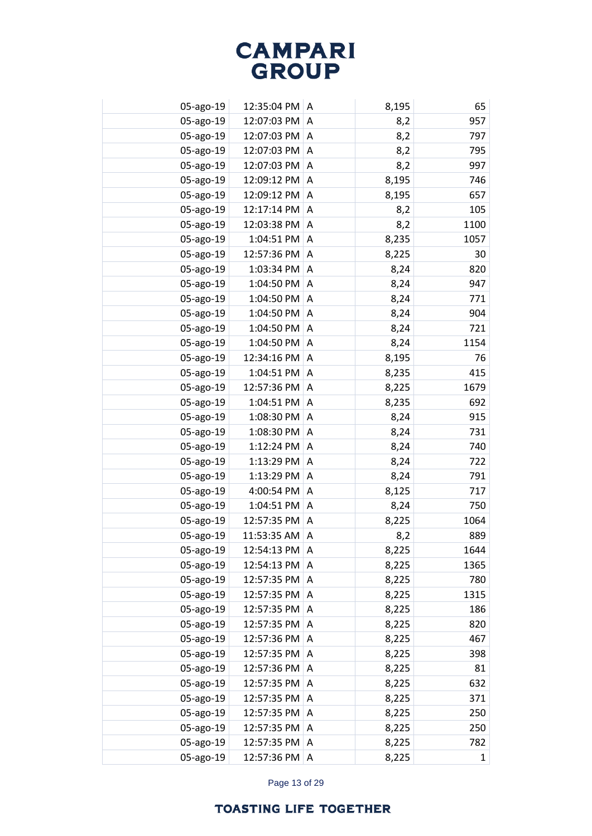| 05-ago-19 | 12:35:04 PM | A | 8,195 | 65           |
|-----------|-------------|---|-------|--------------|
| 05-ago-19 | 12:07:03 PM | A | 8,2   | 957          |
| 05-ago-19 | 12:07:03 PM | A | 8,2   | 797          |
| 05-ago-19 | 12:07:03 PM | A | 8,2   | 795          |
| 05-ago-19 | 12:07:03 PM | A | 8,2   | 997          |
| 05-ago-19 | 12:09:12 PM | A | 8,195 | 746          |
| 05-ago-19 | 12:09:12 PM | A | 8,195 | 657          |
| 05-ago-19 | 12:17:14 PM | Α | 8,2   | 105          |
| 05-ago-19 | 12:03:38 PM | Α | 8,2   | 1100         |
| 05-ago-19 | 1:04:51 PM  | Α | 8,235 | 1057         |
| 05-ago-19 | 12:57:36 PM | A | 8,225 | 30           |
| 05-ago-19 | 1:03:34 PM  | Α | 8,24  | 820          |
| 05-ago-19 | 1:04:50 PM  | A | 8,24  | 947          |
| 05-ago-19 | 1:04:50 PM  | Α | 8,24  | 771          |
| 05-ago-19 | 1:04:50 PM  | Α | 8,24  | 904          |
| 05-ago-19 | 1:04:50 PM  | Α | 8,24  | 721          |
| 05-ago-19 | 1:04:50 PM  | A | 8,24  | 1154         |
| 05-ago-19 | 12:34:16 PM | Α | 8,195 | 76           |
| 05-ago-19 | 1:04:51 PM  | A | 8,235 | 415          |
| 05-ago-19 | 12:57:36 PM | A | 8,225 | 1679         |
| 05-ago-19 | 1:04:51 PM  | A | 8,235 | 692          |
| 05-ago-19 | 1:08:30 PM  | A | 8,24  | 915          |
| 05-ago-19 | 1:08:30 PM  | A | 8,24  | 731          |
| 05-ago-19 | 1:12:24 PM  | A | 8,24  | 740          |
| 05-ago-19 | 1:13:29 PM  | A | 8,24  | 722          |
| 05-ago-19 | 1:13:29 PM  | Α | 8,24  | 791          |
| 05-ago-19 | 4:00:54 PM  | A | 8,125 | 717          |
| 05-ago-19 | 1:04:51 PM  | A | 8,24  | 750          |
| 05-ago-19 | 12:57:35 PM | A | 8,225 | 1064         |
| 05-ago-19 | 11:53:35 AM | A | 8,2   | 889          |
| 05-ago-19 | 12:54:13 PM | A | 8,225 | 1644         |
| 05-ago-19 | 12:54:13 PM | A | 8,225 | 1365         |
| 05-ago-19 | 12:57:35 PM | A | 8,225 | 780          |
| 05-ago-19 | 12:57:35 PM | A | 8,225 | 1315         |
| 05-ago-19 | 12:57:35 PM | A | 8,225 | 186          |
| 05-ago-19 | 12:57:35 PM | A | 8,225 | 820          |
| 05-ago-19 | 12:57:36 PM | A | 8,225 | 467          |
| 05-ago-19 | 12:57:35 PM | A | 8,225 | 398          |
| 05-ago-19 | 12:57:36 PM | A | 8,225 | 81           |
| 05-ago-19 | 12:57:35 PM | Α | 8,225 | 632          |
| 05-ago-19 | 12:57:35 PM | Α | 8,225 | 371          |
| 05-ago-19 | 12:57:35 PM | Α | 8,225 | 250          |
| 05-ago-19 | 12:57:35 PM | Α | 8,225 | 250          |
| 05-ago-19 | 12:57:35 PM | Α | 8,225 | 782          |
| 05-ago-19 | 12:57:36 PM | Α | 8,225 | $\mathbf{1}$ |

Page 13 of 29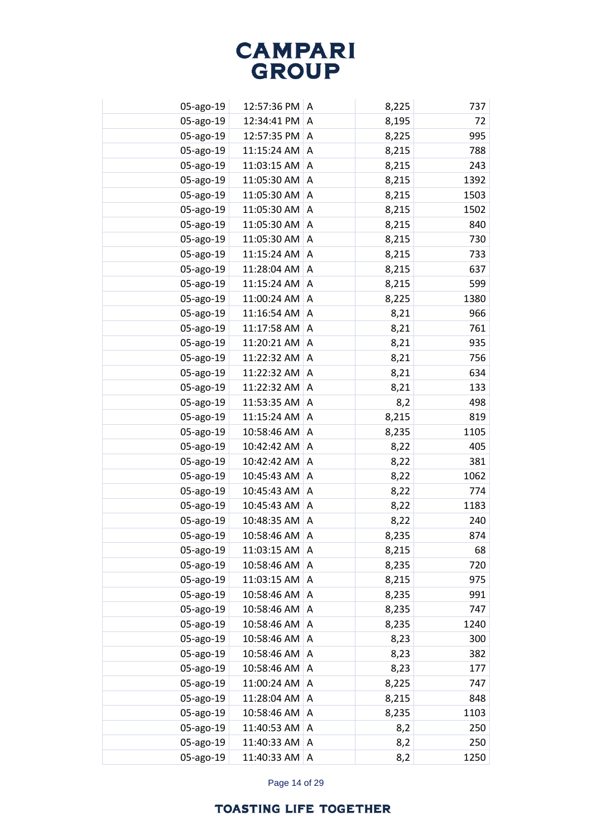| 05-ago-19 | 12:57:36 PM A     |           | 8,225 | 737  |
|-----------|-------------------|-----------|-------|------|
| 05-ago-19 | 12:34:41 PM       | A         | 8,195 | 72   |
| 05-ago-19 | 12:57:35 PM A     |           | 8,225 | 995  |
| 05-ago-19 | 11:15:24 AM       | $\Lambda$ | 8,215 | 788  |
| 05-ago-19 | $11:03:15$ AM   A |           | 8,215 | 243  |
| 05-ago-19 | 11:05:30 AM       | A         | 8,215 | 1392 |
| 05-ago-19 | 11:05:30 AM       | $\Lambda$ | 8,215 | 1503 |
| 05-ago-19 | 11:05:30 AM       | A         | 8,215 | 1502 |
| 05-ago-19 | 11:05:30 AM       | A         | 8,215 | 840  |
| 05-ago-19 | 11:05:30 AM       | A         | 8,215 | 730  |
| 05-ago-19 | 11:15:24 AM       | A         | 8,215 | 733  |
| 05-ago-19 | 11:28:04 AM       | A         | 8,215 | 637  |
| 05-ago-19 | 11:15:24 AM       | A         | 8,215 | 599  |
| 05-ago-19 | 11:00:24 AM       | A         | 8,225 | 1380 |
| 05-ago-19 | 11:16:54 AM       | A         | 8,21  | 966  |
| 05-ago-19 | 11:17:58 AM       | Α         | 8,21  | 761  |
| 05-ago-19 | 11:20:21 AM       | A         | 8,21  | 935  |
| 05-ago-19 | 11:22:32 AM       | Α         | 8,21  | 756  |
| 05-ago-19 | 11:22:32 AM       | A         | 8,21  | 634  |
| 05-ago-19 | 11:22:32 AM       | A         | 8,21  | 133  |
| 05-ago-19 | 11:53:35 AM       | A         | 8,2   | 498  |
| 05-ago-19 | 11:15:24 AM       | Α         | 8,215 | 819  |
| 05-ago-19 | 10:58:46 AM       | A         | 8,235 | 1105 |
| 05-ago-19 | 10:42:42 AM       | Α         | 8,22  | 405  |
| 05-ago-19 | 10:42:42 AM       | A         | 8,22  | 381  |
| 05-ago-19 | 10:45:43 AM       | Α         | 8,22  | 1062 |
| 05-ago-19 | 10:45:43 AM       | A         | 8,22  | 774  |
| 05-ago-19 | 10:45:43 AM       | A         | 8,22  | 1183 |
| 05-ago-19 | 10:48:35 AM       | A         | 8,22  | 240  |
| 05-ago-19 | 10:58:46 AM       | A         | 8,235 | 874  |
| 05-ago-19 | 11:03:15 AM       | A         | 8,215 | 68   |
| 05-ago-19 | 10:58:46 AM       | A         | 8,235 | 720  |
| 05-ago-19 | 11:03:15 AM       | A         | 8,215 | 975  |
| 05-ago-19 | 10:58:46 AM       | A         | 8,235 | 991  |
| 05-ago-19 | 10:58:46 AM       | A         | 8,235 | 747  |
| 05-ago-19 | 10:58:46 AM       | A         | 8,235 | 1240 |
| 05-ago-19 | 10:58:46 AM       | A         | 8,23  | 300  |
| 05-ago-19 | 10:58:46 AM       | A         | 8,23  | 382  |
| 05-ago-19 | 10:58:46 AM       | A         | 8,23  | 177  |
| 05-ago-19 | 11:00:24 AM       | A         | 8,225 | 747  |
| 05-ago-19 | 11:28:04 AM       | Α         | 8,215 | 848  |
| 05-ago-19 | 10:58:46 AM       | A         | 8,235 | 1103 |
| 05-ago-19 | 11:40:53 AM       | A         | 8,2   | 250  |
| 05-ago-19 | 11:40:33 AM       | A         | 8,2   | 250  |
| 05-ago-19 | 11:40:33 AM       | Α         | 8,2   | 1250 |

Page 14 of 29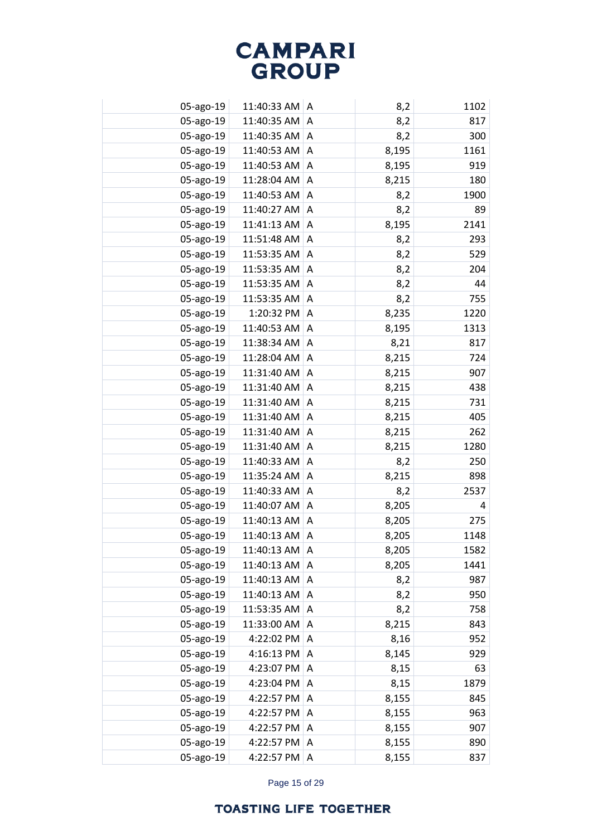| 05-ago-19 | 11:40:33 AM   A   |                | 8,2   | 1102 |
|-----------|-------------------|----------------|-------|------|
| 05-ago-19 | 11:40:35 AM       | A              | 8,2   | 817  |
| 05-ago-19 | 11:40:35 AM       | Α              | 8,2   | 300  |
| 05-ago-19 | 11:40:53 AM       | $\Lambda$      | 8,195 | 1161 |
| 05-ago-19 | 11:40:53 AM $ A $ |                | 8,195 | 919  |
| 05-ago-19 | 11:28:04 AM       | A              | 8,215 | 180  |
| 05-ago-19 | 11:40:53 AM   A   |                | 8,2   | 1900 |
| 05-ago-19 | 11:40:27 AM       | A              | 8,2   | 89   |
| 05-ago-19 | 11:41:13 AM       | $\overline{A}$ | 8,195 | 2141 |
| 05-ago-19 | 11:51:48 AM       | A              | 8,2   | 293  |
| 05-ago-19 | 11:53:35 AM       | A              | 8,2   | 529  |
| 05-ago-19 | 11:53:35 AM       | A              | 8,2   | 204  |
| 05-ago-19 | 11:53:35 AM       | A              | 8,2   | 44   |
| 05-ago-19 | 11:53:35 AM       | A              | 8,2   | 755  |
| 05-ago-19 | 1:20:32 PM        | A              | 8,235 | 1220 |
| 05-ago-19 | 11:40:53 AM       | A              | 8,195 | 1313 |
| 05-ago-19 | 11:38:34 AM       | A              | 8,21  | 817  |
| 05-ago-19 | 11:28:04 AM       | Α              | 8,215 | 724  |
| 05-ago-19 | 11:31:40 AM       | A              | 8,215 | 907  |
| 05-ago-19 | 11:31:40 AM       | Α              | 8,215 | 438  |
| 05-ago-19 | 11:31:40 AM       | A              | 8,215 | 731  |
| 05-ago-19 | 11:31:40 AM       | A              | 8,215 | 405  |
| 05-ago-19 | 11:31:40 AM       | A              | 8,215 | 262  |
| 05-ago-19 | 11:31:40 AM       | Α              | 8,215 | 1280 |
| 05-ago-19 | 11:40:33 AM       | A              | 8,2   | 250  |
| 05-ago-19 | 11:35:24 AM       | Α              | 8,215 | 898  |
| 05-ago-19 | 11:40:33 AM       | A              | 8,2   | 2537 |
| 05-ago-19 | 11:40:07 AM       | A              | 8,205 | 4    |
| 05-ago-19 | 11:40:13 AM       | A              | 8,205 | 275  |
| 05-ago-19 | 11:40:13 AM       | A              | 8,205 | 1148 |
| 05-ago-19 | 11:40:13 AM       | A              | 8,205 | 1582 |
| 05-ago-19 | 11:40:13 AM       | Α              | 8,205 | 1441 |
| 05-ago-19 | 11:40:13 AM       | A              | 8,2   | 987  |
| 05-ago-19 | 11:40:13 AM       | A              | 8,2   | 950  |
| 05-ago-19 | 11:53:35 AM       | A              | 8,2   | 758  |
| 05-ago-19 | 11:33:00 AM       | A              | 8,215 | 843  |
| 05-ago-19 | 4:22:02 PM        | A              | 8,16  | 952  |
| 05-ago-19 | 4:16:13 PM        | A              | 8,145 | 929  |
| 05-ago-19 | 4:23:07 PM        | A              | 8,15  | 63   |
| 05-ago-19 | 4:23:04 PM        | A              | 8,15  | 1879 |
| 05-ago-19 | 4:22:57 PM        | Α              | 8,155 | 845  |
| 05-ago-19 | 4:22:57 PM        | A              | 8,155 | 963  |
| 05-ago-19 | 4:22:57 PM        | Α              | 8,155 | 907  |
| 05-ago-19 | 4:22:57 PM        | A              | 8,155 | 890  |
| 05-ago-19 | 4:22:57 PM        | A              | 8,155 | 837  |

Page 15 of 29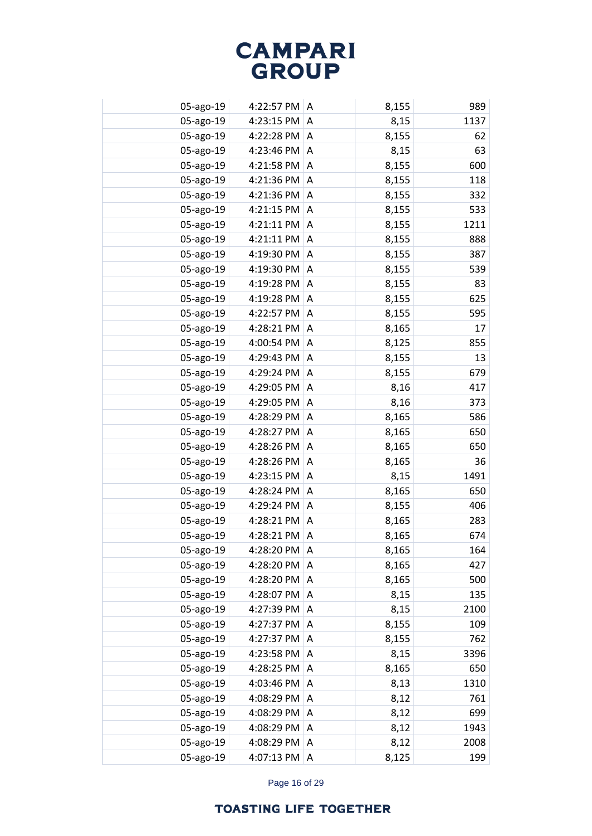| 05-ago-19 | 4:22:57 PM A |   | 8,155 | 989  |
|-----------|--------------|---|-------|------|
| 05-ago-19 | 4:23:15 PM   | A | 8,15  | 1137 |
| 05-ago-19 | 4:22:28 PM   | A | 8,155 | 62   |
| 05-ago-19 | 4:23:46 PM   | A | 8,15  | 63   |
| 05-ago-19 | 4:21:58 PM   | A | 8,155 | 600  |
| 05-ago-19 | 4:21:36 PM   | A | 8,155 | 118  |
| 05-ago-19 | 4:21:36 PM   | A | 8,155 | 332  |
| 05-ago-19 | 4:21:15 PM   | Α | 8,155 | 533  |
| 05-ago-19 | 4:21:11 PM   | Α | 8,155 | 1211 |
| 05-ago-19 | 4:21:11 PM   | Α | 8,155 | 888  |
| 05-ago-19 | 4:19:30 PM   | A | 8,155 | 387  |
| 05-ago-19 | 4:19:30 PM   | Α | 8,155 | 539  |
| 05-ago-19 | 4:19:28 PM   | A | 8,155 | 83   |
| 05-ago-19 | 4:19:28 PM   | Α | 8,155 | 625  |
| 05-ago-19 | 4:22:57 PM   | A | 8,155 | 595  |
| 05-ago-19 | 4:28:21 PM   | Α | 8,165 | 17   |
| 05-ago-19 | 4:00:54 PM   | A | 8,125 | 855  |
| 05-ago-19 | 4:29:43 PM   | Α | 8,155 | 13   |
| 05-ago-19 | 4:29:24 PM   | A | 8,155 | 679  |
| 05-ago-19 | 4:29:05 PM   | A | 8,16  | 417  |
| 05-ago-19 | 4:29:05 PM   | A | 8,16  | 373  |
| 05-ago-19 | 4:28:29 PM   | A | 8,165 | 586  |
| 05-ago-19 | 4:28:27 PM   | A | 8,165 | 650  |
| 05-ago-19 | 4:28:26 PM   | A | 8,165 | 650  |
| 05-ago-19 | 4:28:26 PM   | A | 8,165 | 36   |
| 05-ago-19 | 4:23:15 PM   | Α | 8,15  | 1491 |
| 05-ago-19 | 4:28:24 PM   | A | 8,165 | 650  |
| 05-ago-19 | 4:29:24 PM   | A | 8,155 | 406  |
| 05-ago-19 | 4:28:21 PM   | A | 8,165 | 283  |
| 05-ago-19 | 4:28:21 PM   | A | 8,165 | 674  |
| 05-ago-19 | 4:28:20 PM   | A | 8,165 | 164  |
| 05-ago-19 | 4:28:20 PM   | A | 8,165 | 427  |
| 05-ago-19 | 4:28:20 PM   | Α | 8,165 | 500  |
| 05-ago-19 | 4:28:07 PM   | A | 8,15  | 135  |
| 05-ago-19 | 4:27:39 PM   | Α | 8,15  | 2100 |
| 05-ago-19 | 4:27:37 PM   | A | 8,155 | 109  |
| 05-ago-19 | 4:27:37 PM   | Α | 8,155 | 762  |
| 05-ago-19 | 4:23:58 PM   | A | 8,15  | 3396 |
| 05-ago-19 | 4:28:25 PM   | A | 8,165 | 650  |
| 05-ago-19 | 4:03:46 PM   | Α | 8,13  | 1310 |
| 05-ago-19 | 4:08:29 PM   | Α | 8,12  | 761  |
| 05-ago-19 | 4:08:29 PM   | Α | 8,12  | 699  |
| 05-ago-19 | 4:08:29 PM   | Α | 8,12  | 1943 |
| 05-ago-19 | 4:08:29 PM   | Α | 8,12  | 2008 |
| 05-ago-19 | 4:07:13 PM   | Α | 8,125 | 199  |

Page 16 of 29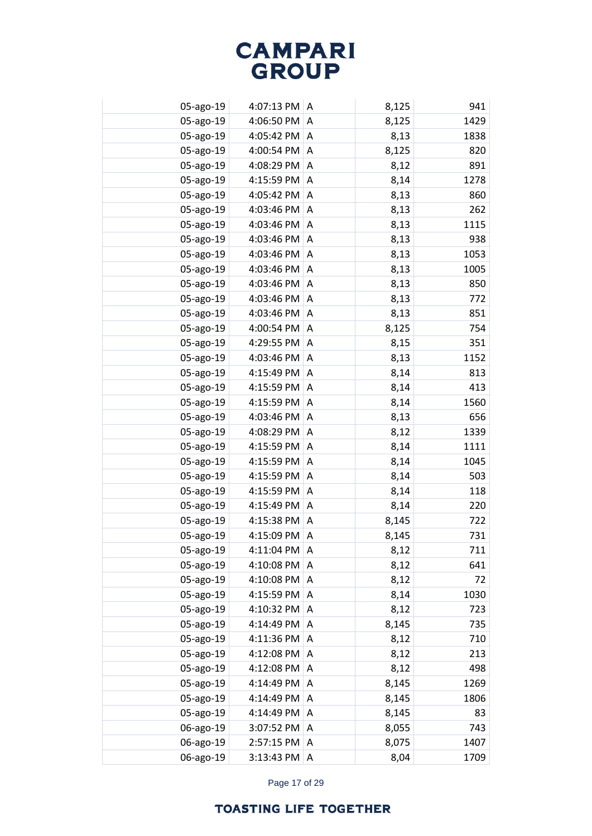| 05-ago-19 | 4:07:13 PM $ A$ |                | 8,125 | 941  |
|-----------|-----------------|----------------|-------|------|
| 05-ago-19 | 4:06:50 PM      | A              | 8,125 | 1429 |
| 05-ago-19 | 4:05:42 PM      | $\overline{A}$ | 8,13  | 1838 |
| 05-ago-19 | 4:00:54 PM      | A              | 8,125 | 820  |
| 05-ago-19 | 4:08:29 PM      | A              | 8,12  | 891  |
| 05-ago-19 | 4:15:59 PM      | Α              | 8,14  | 1278 |
| 05-ago-19 | 4:05:42 PM      | A              | 8,13  | 860  |
| 05-ago-19 | 4:03:46 PM      | A              | 8,13  | 262  |
| 05-ago-19 | 4:03:46 PM      | A              | 8,13  | 1115 |
| 05-ago-19 | 4:03:46 PM      | A              | 8,13  | 938  |
| 05-ago-19 | 4:03:46 PM      | Α              | 8,13  | 1053 |
| 05-ago-19 | 4:03:46 PM      | A              | 8,13  | 1005 |
| 05-ago-19 | 4:03:46 PM      | Α              | 8,13  | 850  |
| 05-ago-19 | 4:03:46 PM      | Α              | 8,13  | 772  |
| 05-ago-19 | 4:03:46 PM      | A              | 8,13  | 851  |
| 05-ago-19 | 4:00:54 PM      | Α              | 8,125 | 754  |
| 05-ago-19 | 4:29:55 PM      | Α              | 8,15  | 351  |
| 05-ago-19 | 4:03:46 PM      | Α              | 8,13  | 1152 |
| 05-ago-19 | 4:15:49 PM      | Α              | 8,14  | 813  |
| 05-ago-19 | 4:15:59 PM      | Α              | 8,14  | 413  |
| 05-ago-19 | 4:15:59 PM      | A              | 8,14  | 1560 |
| 05-ago-19 | 4:03:46 PM      | Α              | 8,13  | 656  |
| 05-ago-19 | 4:08:29 PM      | A              | 8,12  | 1339 |
| 05-ago-19 | 4:15:59 PM      | Α              | 8,14  | 1111 |
| 05-ago-19 | 4:15:59 PM      | A              | 8,14  | 1045 |
| 05-ago-19 | 4:15:59 PM      | A              | 8,14  | 503  |
| 05-ago-19 | 4:15:59 PM      | A              | 8,14  | 118  |
| 05-ago-19 | 4:15:49 PM      | A              | 8,14  | 220  |
| 05-ago-19 | 4:15:38 PM      | A              | 8,145 | 722  |
| 05-ago-19 | 4:15:09 PM      | A              | 8,145 | 731  |
| 05-ago-19 | 4:11:04 PM      | A              | 8,12  | 711  |
| 05-ago-19 | 4:10:08 PM      | A              | 8,12  | 641  |
| 05-ago-19 | 4:10:08 PM      | A              | 8,12  | 72   |
| 05-ago-19 | 4:15:59 PM      | A              | 8,14  | 1030 |
| 05-ago-19 | 4:10:32 PM      | A              | 8,12  | 723  |
| 05-ago-19 | 4:14:49 PM      | A              | 8,145 | 735  |
| 05-ago-19 | 4:11:36 PM      | Α              | 8,12  | 710  |
| 05-ago-19 | 4:12:08 PM      | A              | 8,12  | 213  |
| 05-ago-19 | 4:12:08 PM      | Α              | 8,12  | 498  |
| 05-ago-19 | 4:14:49 PM      | Α              | 8,145 | 1269 |
| 05-ago-19 | 4:14:49 PM      | Α              | 8,145 | 1806 |
| 05-ago-19 | 4:14:49 PM      | Α              | 8,145 | 83   |
| 06-ago-19 | 3:07:52 PM      | Α              | 8,055 | 743  |
| 06-ago-19 | 2:57:15 PM      | Α              | 8,075 | 1407 |
| 06-ago-19 | 3:13:43 PM      | Α              | 8,04  | 1709 |
|           |                 |                |       |      |

Page 17 of 29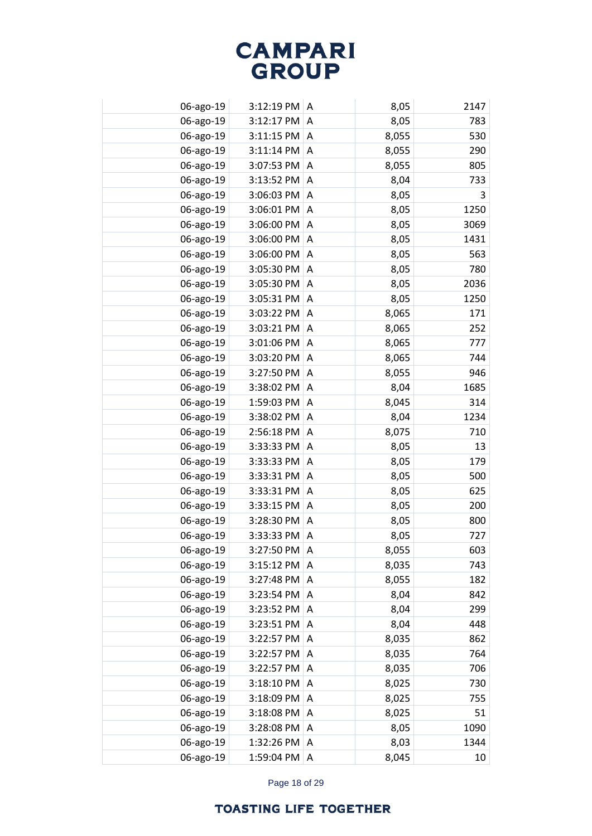| 06-ago-19 | $3:12:19$ PM $ A$ |   | 8,05  | 2147            |
|-----------|-------------------|---|-------|-----------------|
| 06-ago-19 | 3:12:17 PM        | A | 8,05  | 783             |
| 06-ago-19 | 3:11:15 PM        | A | 8,055 | 530             |
| 06-ago-19 | 3:11:14 PM        | A | 8,055 | 290             |
| 06-ago-19 | 3:07:53 PM        | A | 8,055 | 805             |
| 06-ago-19 | 3:13:52 PM        | Α | 8,04  | 733             |
| 06-ago-19 | 3:06:03 PM        | A | 8,05  | 3               |
| 06-ago-19 | 3:06:01 PM        | A | 8,05  | 1250            |
| 06-ago-19 | 3:06:00 PM        | A | 8,05  | 3069            |
| 06-ago-19 | 3:06:00 PM        | Α | 8,05  | 1431            |
| 06-ago-19 | 3:06:00 PM        | Α | 8,05  | 563             |
| 06-ago-19 | 3:05:30 PM        | Α | 8,05  | 780             |
| 06-ago-19 | 3:05:30 PM        | Α | 8,05  | 2036            |
| 06-ago-19 | 3:05:31 PM        | Α | 8,05  | 1250            |
| 06-ago-19 | 3:03:22 PM        | A | 8,065 | 171             |
| 06-ago-19 | 3:03:21 PM        | Α | 8,065 | 252             |
| 06-ago-19 | 3:01:06 PM        | A | 8,065 | 777             |
| 06-ago-19 | 3:03:20 PM        | Α | 8,065 | 744             |
| 06-ago-19 | 3:27:50 PM        | A | 8,055 | 946             |
| 06-ago-19 | 3:38:02 PM        | Α | 8,04  | 1685            |
| 06-ago-19 | 1:59:03 PM        | A | 8,045 | 314             |
| 06-ago-19 | 3:38:02 PM        | Α | 8,04  | 1234            |
| 06-ago-19 | 2:56:18 PM        | A | 8,075 | 710             |
| 06-ago-19 | 3:33:33 PM        | Α | 8,05  | 13              |
| 06-ago-19 | 3:33:33 PM        | A | 8,05  | 179             |
| 06-ago-19 | 3:33:31 PM        | A | 8,05  | 500             |
| 06-ago-19 | 3:33:31 PM        | A | 8,05  | 625             |
| 06-ago-19 | 3:33:15 PM        | A | 8,05  | 200             |
| 06-ago-19 | 3:28:30 PM        | A | 8,05  | 800             |
| 06-ago-19 | 3:33:33 PM        | Α | 8,05  | 727             |
| 06-ago-19 | 3:27:50 PM        | A | 8,055 | 603             |
| 06-ago-19 | 3:15:12 PM        | A | 8,035 | 743             |
| 06-ago-19 | 3:27:48 PM        | A | 8,055 | 182             |
| 06-ago-19 | 3:23:54 PM        | A | 8,04  | 842             |
| 06-ago-19 | 3:23:52 PM        | A | 8,04  | 299             |
| 06-ago-19 | 3:23:51 PM        | A | 8,04  | 448             |
| 06-ago-19 | 3:22:57 PM        | Α | 8,035 | 862             |
| 06-ago-19 | 3:22:57 PM        | A | 8,035 | 764             |
| 06-ago-19 | 3:22:57 PM        | Α | 8,035 | 706             |
| 06-ago-19 | 3:18:10 PM        | Α | 8,025 | 730             |
| 06-ago-19 | 3:18:09 PM        | Α | 8,025 | 755             |
| 06-ago-19 | 3:18:08 PM        | Α | 8,025 | 51              |
| 06-ago-19 | 3:28:08 PM        | Α | 8,05  | 1090            |
| 06-ago-19 | 1:32:26 PM        | Α | 8,03  | 1344            |
| 06-ago-19 | 1:59:04 PM        | Α | 8,045 | 10 <sup>°</sup> |

Page 18 of 29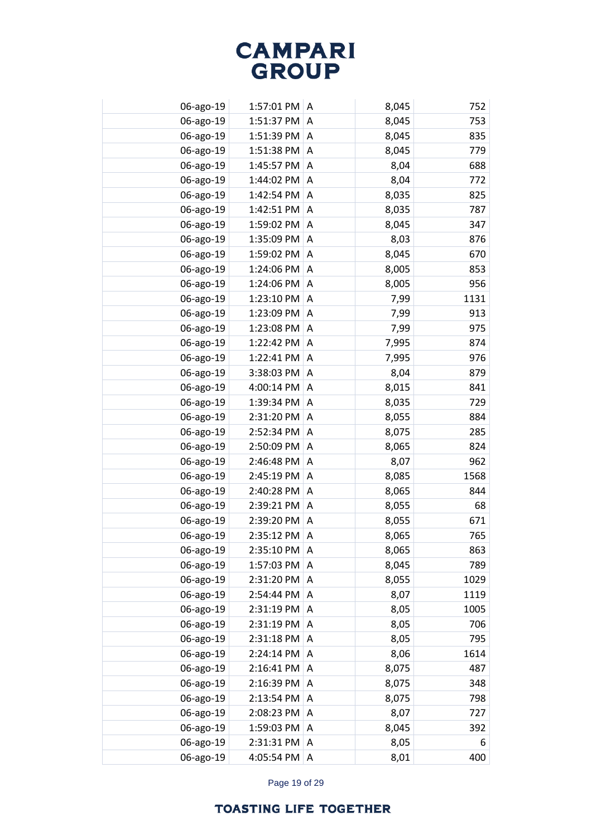| 06-ago-19 | 1:57:01 PM   A |   | 8,045 | 752  |
|-----------|----------------|---|-------|------|
| 06-ago-19 | 1:51:37 PM     | A | 8,045 | 753  |
| 06-ago-19 | 1:51:39 PM     | A | 8,045 | 835  |
| 06-ago-19 | 1:51:38 PM     | A | 8,045 | 779  |
| 06-ago-19 | 1:45:57 PM     | A | 8,04  | 688  |
| 06-ago-19 | 1:44:02 PM     | Α | 8,04  | 772  |
| 06-ago-19 | 1:42:54 PM     | A | 8,035 | 825  |
| 06-ago-19 | 1:42:51 PM     | A | 8,035 | 787  |
| 06-ago-19 | 1:59:02 PM     | Α | 8,045 | 347  |
| 06-ago-19 | 1:35:09 PM     | Α | 8,03  | 876  |
| 06-ago-19 | 1:59:02 PM     | Α | 8,045 | 670  |
| 06-ago-19 | 1:24:06 PM     | Α | 8,005 | 853  |
| 06-ago-19 | 1:24:06 PM     | Α | 8,005 | 956  |
| 06-ago-19 | 1:23:10 PM     | Α | 7,99  | 1131 |
| 06-ago-19 | 1:23:09 PM     | A | 7,99  | 913  |
| 06-ago-19 | 1:23:08 PM     | Α | 7,99  | 975  |
| 06-ago-19 | 1:22:42 PM     | Α | 7,995 | 874  |
| 06-ago-19 | 1:22:41 PM     | Α | 7,995 | 976  |
| 06-ago-19 | 3:38:03 PM     | Α | 8,04  | 879  |
| 06-ago-19 | 4:00:14 PM     | Α | 8,015 | 841  |
| 06-ago-19 | 1:39:34 PM     | A | 8,035 | 729  |
| 06-ago-19 | 2:31:20 PM     | Α | 8,055 | 884  |
| 06-ago-19 | 2:52:34 PM     | A | 8,075 | 285  |
| 06-ago-19 | 2:50:09 PM     | Α | 8,065 | 824  |
| 06-ago-19 | 2:46:48 PM     | A | 8,07  | 962  |
| 06-ago-19 | 2:45:19 PM     | A | 8,085 | 1568 |
| 06-ago-19 | 2:40:28 PM     | A | 8,065 | 844  |
| 06-ago-19 | 2:39:21 PM     | A | 8,055 | 68   |
| 06-ago-19 | 2:39:20 PM     | A | 8,055 | 671  |
| 06-ago-19 | 2:35:12 PM     | A | 8,065 | 765  |
| 06-ago-19 | 2:35:10 PM     | A | 8,065 | 863  |
| 06-ago-19 | 1:57:03 PM     | A | 8,045 | 789  |
| 06-ago-19 | 2:31:20 PM     | Α | 8,055 | 1029 |
| 06-ago-19 | 2:54:44 PM     | A | 8,07  | 1119 |
| 06-ago-19 | 2:31:19 PM     | Α | 8,05  | 1005 |
| 06-ago-19 | 2:31:19 PM     | A | 8,05  | 706  |
| 06-ago-19 | 2:31:18 PM     | Α | 8,05  | 795  |
| 06-ago-19 | 2:24:14 PM     | A | 8,06  | 1614 |
| 06-ago-19 | 2:16:41 PM     | Α | 8,075 | 487  |
| 06-ago-19 | 2:16:39 PM     | Α | 8,075 | 348  |
| 06-ago-19 | 2:13:54 PM     | Α | 8,075 | 798  |
| 06-ago-19 | 2:08:23 PM     | Α | 8,07  | 727  |
| 06-ago-19 | 1:59:03 PM     | Α | 8,045 | 392  |
| 06-ago-19 | 2:31:31 PM     | Α | 8,05  | 6    |
| 06-ago-19 | 4:05:54 PM     | Α | 8,01  | 400  |

Page 19 of 29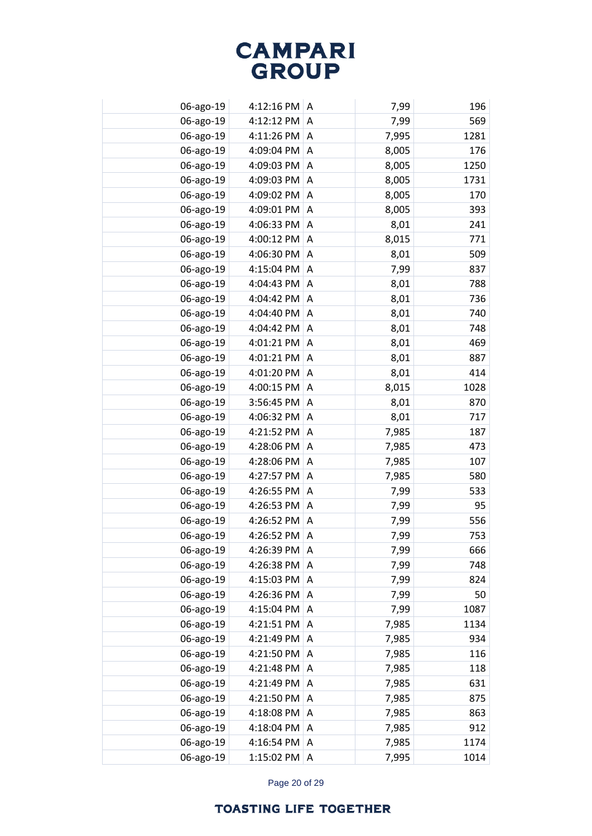| 06-ago-19 | 4:12:16 PM $ A$ |   | 7,99  | 196  |
|-----------|-----------------|---|-------|------|
| 06-ago-19 | 4:12:12 PM      | A | 7,99  | 569  |
| 06-ago-19 | 4:11:26 PM      | A | 7,995 | 1281 |
| 06-ago-19 | 4:09:04 PM      | A | 8,005 | 176  |
| 06-ago-19 | 4:09:03 PM      | A | 8,005 | 1250 |
| 06-ago-19 | 4:09:03 PM      | Α | 8,005 | 1731 |
| 06-ago-19 | 4:09:02 PM      | A | 8,005 | 170  |
| 06-ago-19 | 4:09:01 PM      | A | 8,005 | 393  |
| 06-ago-19 | 4:06:33 PM      | A | 8,01  | 241  |
| 06-ago-19 | 4:00:12 PM      | Α | 8,015 | 771  |
| 06-ago-19 | 4:06:30 PM      | Α | 8,01  | 509  |
| 06-ago-19 | 4:15:04 PM      | Α | 7,99  | 837  |
| 06-ago-19 | 4:04:43 PM      | Α | 8,01  | 788  |
| 06-ago-19 | 4:04:42 PM      | Α | 8,01  | 736  |
| 06-ago-19 | 4:04:40 PM      | A | 8,01  | 740  |
| 06-ago-19 | 4:04:42 PM      | Α | 8,01  | 748  |
| 06-ago-19 | 4:01:21 PM      | A | 8,01  | 469  |
| 06-ago-19 | 4:01:21 PM      | Α | 8,01  | 887  |
| 06-ago-19 | 4:01:20 PM      | A | 8,01  | 414  |
| 06-ago-19 | 4:00:15 PM      | A | 8,015 | 1028 |
| 06-ago-19 | 3:56:45 PM      | A | 8,01  | 870  |
| 06-ago-19 | 4:06:32 PM      | Α | 8,01  | 717  |
| 06-ago-19 | 4:21:52 PM      | A | 7,985 | 187  |
| 06-ago-19 | 4:28:06 PM      | Α | 7,985 | 473  |
| 06-ago-19 | 4:28:06 PM      | A | 7,985 | 107  |
| 06-ago-19 | 4:27:57 PM      | Α | 7,985 | 580  |
| 06-ago-19 | 4:26:55 PM      | A | 7,99  | 533  |
| 06-ago-19 | 4:26:53 PM      | A | 7,99  | 95   |
| 06-ago-19 | 4:26:52 PM      | A | 7,99  | 556  |
| 06-ago-19 | 4:26:52 PM      | Α | 7,99  | 753  |
| 06-ago-19 | 4:26:39 PM      | A | 7,99  | 666  |
| 06-ago-19 | 4:26:38 PM      | A | 7,99  | 748  |
| 06-ago-19 | 4:15:03 PM      | A | 7,99  | 824  |
| 06-ago-19 | 4:26:36 PM      | A | 7,99  | 50   |
| 06-ago-19 | 4:15:04 PM      | A | 7,99  | 1087 |
| 06-ago-19 | 4:21:51 PM      | A | 7,985 | 1134 |
| 06-ago-19 | 4:21:49 PM      | A | 7,985 | 934  |
| 06-ago-19 | 4:21:50 PM      | A | 7,985 | 116  |
| 06-ago-19 | 4:21:48 PM      | Α | 7,985 | 118  |
| 06-ago-19 | 4:21:49 PM      | Α | 7,985 | 631  |
| 06-ago-19 | 4:21:50 PM      | Α | 7,985 | 875  |
| 06-ago-19 | 4:18:08 PM      | Α | 7,985 | 863  |
| 06-ago-19 | 4:18:04 PM      | Α | 7,985 | 912  |
| 06-ago-19 | 4:16:54 PM      | Α | 7,985 | 1174 |
| 06-ago-19 | 1:15:02 PM      | Α | 7,995 | 1014 |

Page 20 of 29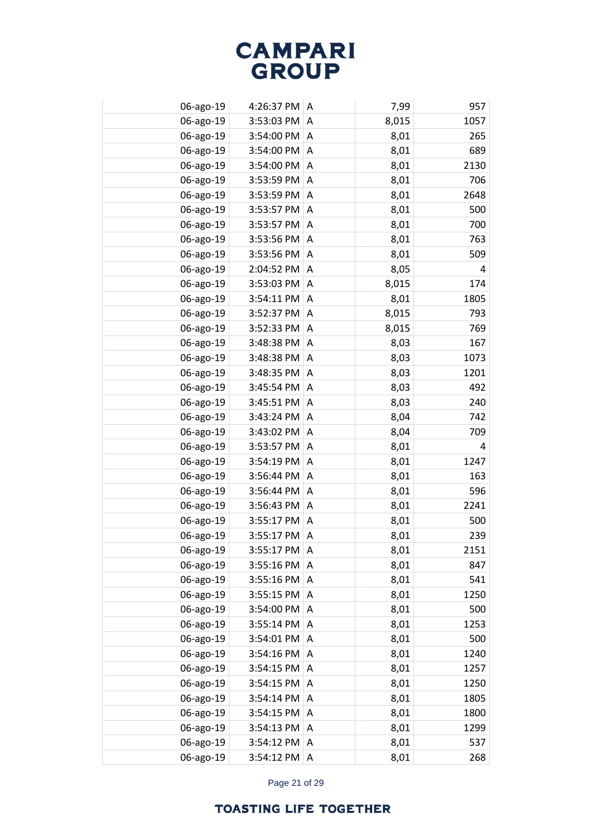| 06-ago-19 | 4:26:37 PM A |   | 7,99  | 957  |
|-----------|--------------|---|-------|------|
| 06-ago-19 | 3:53:03 PM   | A | 8,015 | 1057 |
| 06-ago-19 | 3:54:00 PM   | A | 8,01  | 265  |
| 06-ago-19 | 3:54:00 PM   | A | 8,01  | 689  |
| 06-ago-19 | 3:54:00 PM   | A | 8,01  | 2130 |
| 06-ago-19 | 3:53:59 PM   | Α | 8,01  | 706  |
| 06-ago-19 | 3:53:59 PM   | A | 8,01  | 2648 |
| 06-ago-19 | 3:53:57 PM   | A | 8,01  | 500  |
| 06-ago-19 | 3:53:57 PM   | A | 8,01  | 700  |
| 06-ago-19 | 3:53:56 PM   | Α | 8,01  | 763  |
| 06-ago-19 | 3:53:56 PM   | A | 8,01  | 509  |
| 06-ago-19 | 2:04:52 PM   | Α | 8,05  | 4    |
| 06-ago-19 | 3:53:03 PM   | A | 8,015 | 174  |
| 06-ago-19 | 3:54:11 PM   | Α | 8,01  | 1805 |
| 06-ago-19 | 3:52:37 PM   | A | 8,015 | 793  |
| 06-ago-19 | 3:52:33 PM   | Α | 8,015 | 769  |
| 06-ago-19 | 3:48:38 PM   | A | 8,03  | 167  |
| 06-ago-19 | 3:48:38 PM   | Α | 8,03  | 1073 |
| 06-ago-19 | 3:48:35 PM   | A | 8,03  | 1201 |
| 06-ago-19 | 3:45:54 PM   | Α | 8,03  | 492  |
| 06-ago-19 | 3:45:51 PM   | A | 8,03  | 240  |
| 06-ago-19 | 3:43:24 PM   | Α | 8,04  | 742  |
| 06-ago-19 | 3:43:02 PM   | A | 8,04  | 709  |
| 06-ago-19 | 3:53:57 PM   | Α | 8,01  | 4    |
| 06-ago-19 | 3:54:19 PM   | A | 8,01  | 1247 |
| 06-ago-19 | 3:56:44 PM   | A | 8,01  | 163  |
| 06-ago-19 | 3:56:44 PM   | A | 8,01  | 596  |
| 06-ago-19 | 3:56:43 PM   | A | 8,01  | 2241 |
| 06-ago-19 | 3:55:17 PM   | A | 8,01  | 500  |
| 06-ago-19 | 3:55:17 PM   | A | 8,01  | 239  |
| 06-ago-19 | 3:55:17 PM   | A | 8,01  | 2151 |
| 06-ago-19 | 3:55:16 PM   | A | 8,01  | 847  |
| 06-ago-19 | 3:55:16 PM   | A | 8,01  | 541  |
| 06-ago-19 | 3:55:15 PM   | A | 8,01  | 1250 |
| 06-ago-19 | 3:54:00 PM   | A | 8,01  | 500  |
| 06-ago-19 | 3:55:14 PM   | A | 8,01  | 1253 |
| 06-ago-19 | 3:54:01 PM   | Α | 8,01  | 500  |
| 06-ago-19 | 3:54:16 PM   | A | 8,01  | 1240 |
| 06-ago-19 | 3:54:15 PM   | Α | 8,01  | 1257 |
| 06-ago-19 | 3:54:15 PM   | Α | 8,01  | 1250 |
| 06-ago-19 | 3:54:14 PM   | Α | 8,01  | 1805 |
| 06-ago-19 | 3:54:15 PM   | A | 8,01  | 1800 |
| 06-ago-19 | 3:54:13 PM   | Α | 8,01  | 1299 |
| 06-ago-19 | 3:54:12 PM   | Α | 8,01  | 537  |
| 06-ago-19 | 3:54:12 PM   | Α | 8,01  | 268  |

Page 21 of 29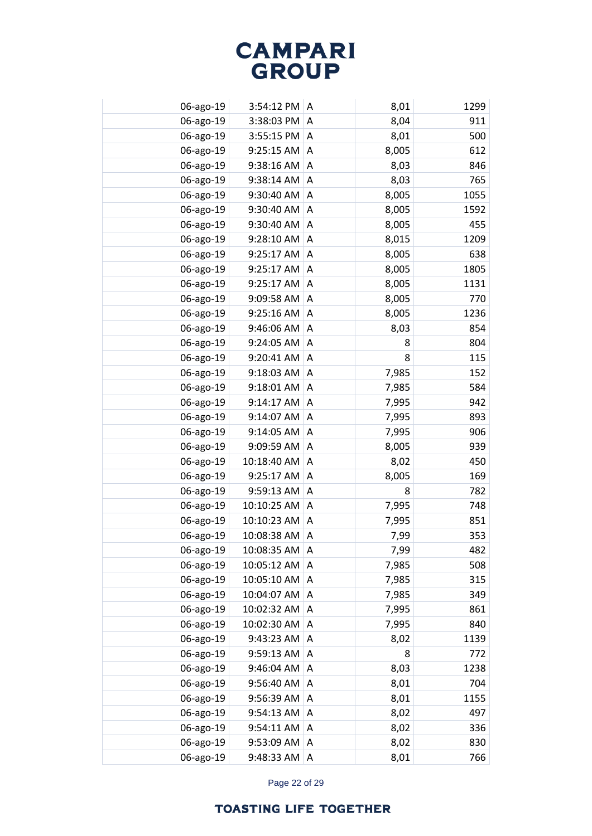| 06-ago-19 | $3:54:12$ PM $\mid$ A |   | 8,01  | 1299 |
|-----------|-----------------------|---|-------|------|
| 06-ago-19 | 3:38:03 PM            | A | 8,04  | 911  |
| 06-ago-19 | 3:55:15 PM            | A | 8,01  | 500  |
| 06-ago-19 | 9:25:15 AM            | A | 8,005 | 612  |
| 06-ago-19 | 9:38:16 AM            | A | 8,03  | 846  |
| 06-ago-19 | 9:38:14 AM            | A | 8,03  | 765  |
| 06-ago-19 | 9:30:40 AM            | A | 8,005 | 1055 |
| 06-ago-19 | 9:30:40 AM            | A | 8,005 | 1592 |
| 06-ago-19 | 9:30:40 AM            | A | 8,005 | 455  |
| 06-ago-19 | 9:28:10 AM            | Α | 8,015 | 1209 |
| 06-ago-19 | 9:25:17 AM            | A | 8,005 | 638  |
| 06-ago-19 | 9:25:17 AM            | A | 8,005 | 1805 |
| 06-ago-19 | 9:25:17 AM            | A | 8,005 | 1131 |
| 06-ago-19 | 9:09:58 AM            | Α | 8,005 | 770  |
| 06-ago-19 | 9:25:16 AM            | A | 8,005 | 1236 |
| 06-ago-19 | 9:46:06 AM            | Α | 8,03  | 854  |
| 06-ago-19 | 9:24:05 AM            | Α | 8     | 804  |
| 06-ago-19 | 9:20:41 AM            | Α | 8     | 115  |
| 06-ago-19 | 9:18:03 AM            | A | 7,985 | 152  |
| 06-ago-19 | 9:18:01 AM            | Α | 7,985 | 584  |
| 06-ago-19 | 9:14:17 AM            | A | 7,995 | 942  |
| 06-ago-19 | 9:14:07 AM            | Α | 7,995 | 893  |
| 06-ago-19 | 9:14:05 AM            | A | 7,995 | 906  |
| 06-ago-19 | 9:09:59 AM            | Α | 8,005 | 939  |
| 06-ago-19 | 10:18:40 AM           | A | 8,02  | 450  |
| 06-ago-19 | 9:25:17 AM            | Α | 8,005 | 169  |
| 06-ago-19 | 9:59:13 AM            | A | 8     | 782  |
| 06-ago-19 | 10:10:25 AM           | Α | 7,995 | 748  |
| 06-ago-19 | 10:10:23 AM           | A | 7,995 | 851  |
| 06-ago-19 | 10:08:38 AM           | Α | 7,99  | 353  |
| 06-ago-19 | 10:08:35 AM           | A | 7,99  | 482  |
| 06-ago-19 | 10:05:12 AM           | Α | 7,985 | 508  |
| 06-ago-19 | 10:05:10 AM           | A | 7,985 | 315  |
| 06-ago-19 | 10:04:07 AM           | Α | 7,985 | 349  |
| 06-ago-19 | 10:02:32 AM           | A | 7,995 | 861  |
| 06-ago-19 | 10:02:30 AM           | Α | 7,995 | 840  |
| 06-ago-19 | 9:43:23 AM            | A | 8,02  | 1139 |
| 06-ago-19 | 9:59:13 AM            | Α | 8     | 772  |
| 06-ago-19 | 9:46:04 AM            | A | 8,03  | 1238 |
| 06-ago-19 | 9:56:40 AM            | A | 8,01  | 704  |
| 06-ago-19 | 9:56:39 AM            | Α | 8,01  | 1155 |
| 06-ago-19 | 9:54:13 AM            | A | 8,02  | 497  |
| 06-ago-19 | 9:54:11 AM            | Α | 8,02  | 336  |
| 06-ago-19 | 9:53:09 AM            | Α | 8,02  | 830  |
| 06-ago-19 | 9:48:33 AM            | Α | 8,01  | 766  |

Page 22 of 29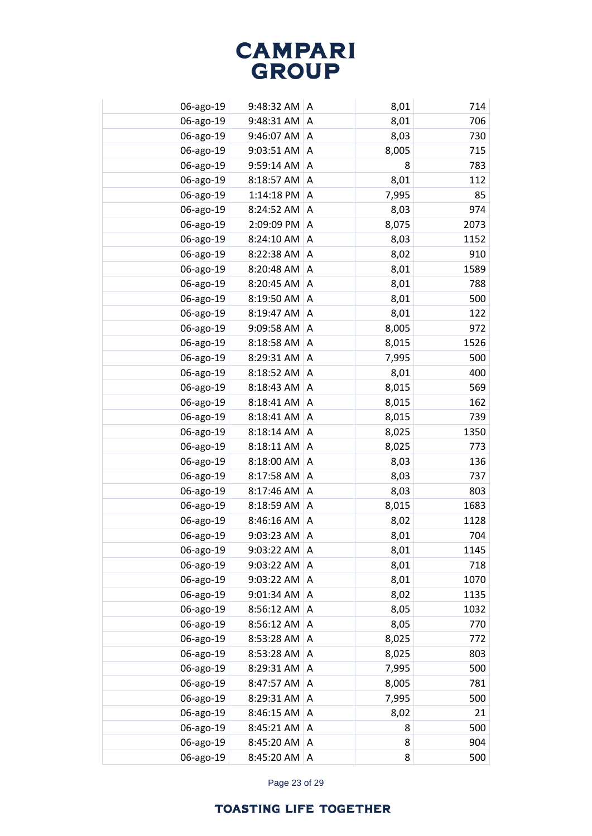| 06-ago-19 | 9:48:32 AM | ۱A | 8,01  | 714  |
|-----------|------------|----|-------|------|
| 06-ago-19 | 9:48:31 AM | A  | 8,01  | 706  |
| 06-ago-19 | 9:46:07 AM | A  | 8,03  | 730  |
| 06-ago-19 | 9:03:51 AM | A  | 8,005 | 715  |
| 06-ago-19 | 9:59:14 AM | Α  | 8     | 783  |
| 06-ago-19 | 8:18:57 AM | Α  | 8,01  | 112  |
| 06-ago-19 | 1:14:18 PM | A  | 7,995 | 85   |
| 06-ago-19 | 8:24:52 AM | Α  | 8,03  | 974  |
| 06-ago-19 | 2:09:09 PM | Α  | 8,075 | 2073 |
| 06-ago-19 | 8:24:10 AM | Α  | 8,03  | 1152 |
| 06-ago-19 | 8:22:38 AM | Α  | 8,02  | 910  |
| 06-ago-19 | 8:20:48 AM | Α  | 8,01  | 1589 |
| 06-ago-19 | 8:20:45 AM | A  | 8,01  | 788  |
| 06-ago-19 | 8:19:50 AM | Α  | 8,01  | 500  |
| 06-ago-19 | 8:19:47 AM | A  | 8,01  | 122  |
| 06-ago-19 | 9:09:58 AM | Α  | 8,005 | 972  |
| 06-ago-19 | 8:18:58 AM | A  | 8,015 | 1526 |
| 06-ago-19 | 8:29:31 AM | Α  | 7,995 | 500  |
| 06-ago-19 | 8:18:52 AM | A  | 8,01  | 400  |
| 06-ago-19 | 8:18:43 AM | Α  | 8,015 | 569  |
| 06-ago-19 | 8:18:41 AM | A  | 8,015 | 162  |
| 06-ago-19 | 8:18:41 AM | A  | 8,015 | 739  |
| 06-ago-19 | 8:18:14 AM | A  | 8,025 | 1350 |
| 06-ago-19 | 8:18:11 AM | Α  | 8,025 | 773  |
| 06-ago-19 | 8:18:00 AM | A  | 8,03  | 136  |
| 06-ago-19 | 8:17:58 AM | A  | 8,03  | 737  |
| 06-ago-19 | 8:17:46 AM | A  | 8,03  | 803  |
| 06-ago-19 | 8:18:59 AM | A  | 8,015 | 1683 |
| 06-ago-19 | 8:46:16 AM | A  | 8,02  | 1128 |
| 06-ago-19 | 9:03:23 AM | Α  | 8,01  | 704  |
| 06-ago-19 | 9:03:22 AM | A  | 8,01  | 1145 |
| 06-ago-19 | 9:03:22 AM | Α  | 8,01  | 718  |
| 06-ago-19 | 9:03:22 AM | Α  | 8,01  | 1070 |
| 06-ago-19 | 9:01:34 AM | A  | 8,02  | 1135 |
| 06-ago-19 | 8:56:12 AM | A  | 8,05  | 1032 |
| 06-ago-19 | 8:56:12 AM | A  | 8,05  | 770  |
| 06-ago-19 | 8:53:28 AM | Α  | 8,025 | 772  |
| 06-ago-19 | 8:53:28 AM | Α  | 8,025 | 803  |
| 06-ago-19 | 8:29:31 AM | Α  | 7,995 | 500  |
| 06-ago-19 | 8:47:57 AM | Α  | 8,005 | 781  |
| 06-ago-19 | 8:29:31 AM | Α  | 7,995 | 500  |
| 06-ago-19 | 8:46:15 AM | Α  | 8,02  | 21   |
| 06-ago-19 | 8:45:21 AM | Α  | 8     | 500  |
| 06-ago-19 | 8:45:20 AM | Α  | 8     | 904  |
| 06-ago-19 | 8:45:20 AM | Α  | 8     | 500  |

Page 23 of 29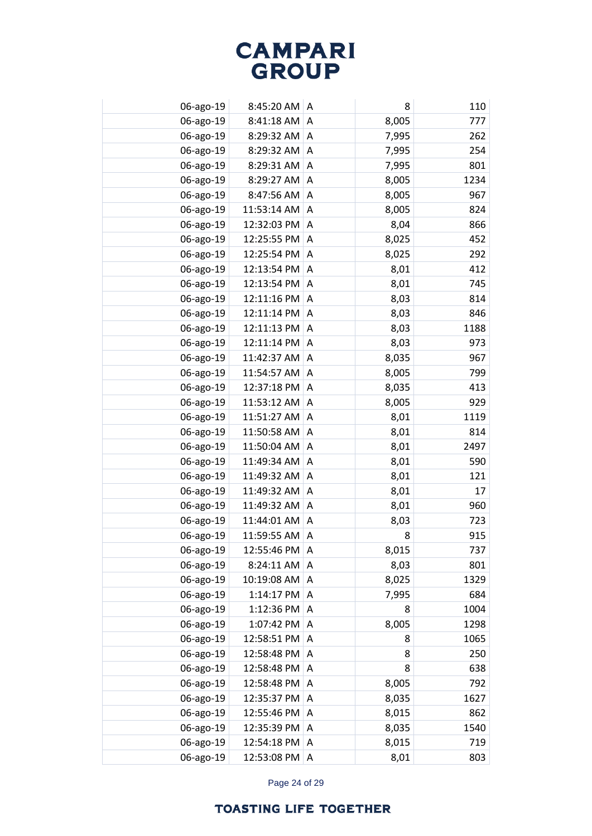| 06-ago-19 | $8:45:20$ AM $\mid$ A |   | 8     | 110  |
|-----------|-----------------------|---|-------|------|
| 06-ago-19 | 8:41:18 AM            | A | 8,005 | 777  |
| 06-ago-19 | 8:29:32 AM            | A | 7,995 | 262  |
| 06-ago-19 | 8:29:32 AM            | A | 7,995 | 254  |
| 06-ago-19 | 8:29:31 AM            | A | 7,995 | 801  |
| 06-ago-19 | 8:29:27 AM            | A | 8,005 | 1234 |
| 06-ago-19 | 8:47:56 AM            | A | 8,005 | 967  |
| 06-ago-19 | 11:53:14 AM           | A | 8,005 | 824  |
| 06-ago-19 | 12:32:03 PM           | A | 8,04  | 866  |
| 06-ago-19 | 12:25:55 PM           | Α | 8,025 | 452  |
| 06-ago-19 | 12:25:54 PM           | A | 8,025 | 292  |
| 06-ago-19 | 12:13:54 PM           | Α | 8,01  | 412  |
| 06-ago-19 | 12:13:54 PM           | A | 8,01  | 745  |
| 06-ago-19 | 12:11:16 PM           | Α | 8,03  | 814  |
| 06-ago-19 | 12:11:14 PM           | A | 8,03  | 846  |
| 06-ago-19 | 12:11:13 PM           | Α | 8,03  | 1188 |
| 06-ago-19 | 12:11:14 PM           | A | 8,03  | 973  |
| 06-ago-19 | 11:42:37 AM           | Α | 8,035 | 967  |
| 06-ago-19 | 11:54:57 AM           | A | 8,005 | 799  |
| 06-ago-19 | 12:37:18 PM           | Α | 8,035 | 413  |
| 06-ago-19 | 11:53:12 AM           | A | 8,005 | 929  |
| 06-ago-19 | 11:51:27 AM           | Α | 8,01  | 1119 |
| 06-ago-19 | 11:50:58 AM           | A | 8,01  | 814  |
| 06-ago-19 | 11:50:04 AM           | Α | 8,01  | 2497 |
| 06-ago-19 | 11:49:34 AM           | A | 8,01  | 590  |
| 06-ago-19 | 11:49:32 AM           | A | 8,01  | 121  |
| 06-ago-19 | 11:49:32 AM           | A | 8,01  | 17   |
| 06-ago-19 | 11:49:32 AM           | A | 8,01  | 960  |
| 06-ago-19 | 11:44:01 AM           | A | 8,03  | 723  |
| 06-ago-19 | 11:59:55 AM           | Α | 8     | 915  |
| 06-ago-19 | 12:55:46 PM           | A | 8,015 | 737  |
| 06-ago-19 | 8:24:11 AM            | A | 8,03  | 801  |
| 06-ago-19 | 10:19:08 AM           | A | 8,025 | 1329 |
| 06-ago-19 | 1:14:17 PM            | A | 7,995 | 684  |
| 06-ago-19 | 1:12:36 PM            | A | 8     | 1004 |
| 06-ago-19 | 1:07:42 PM            | A | 8,005 | 1298 |
| 06-ago-19 | 12:58:51 PM           | Α | 8     | 1065 |
| 06-ago-19 | 12:58:48 PM           | A | 8     | 250  |
| 06-ago-19 | 12:58:48 PM           | A | 8     | 638  |
| 06-ago-19 | 12:58:48 PM           | Α | 8,005 | 792  |
| 06-ago-19 | 12:35:37 PM           | Α | 8,035 | 1627 |
| 06-ago-19 | 12:55:46 PM           | Α | 8,015 | 862  |
| 06-ago-19 | 12:35:39 PM           | A | 8,035 | 1540 |
| 06-ago-19 | 12:54:18 PM           | Α | 8,015 | 719  |
| 06-ago-19 | 12:53:08 PM           | Α | 8,01  | 803  |

Page 24 of 29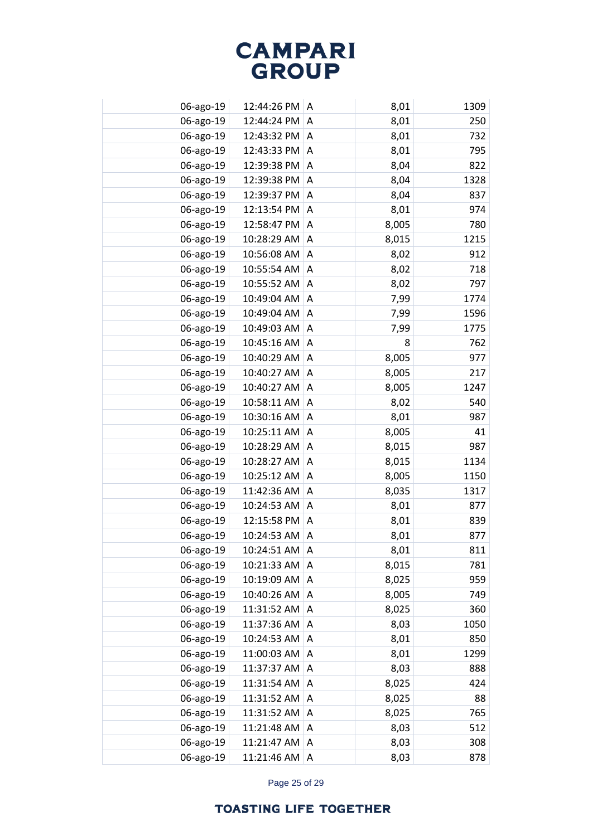| 06-ago-19 | 12:44:26 PM A |   | 8,01  | 1309 |
|-----------|---------------|---|-------|------|
| 06-ago-19 | 12:44:24 PM   | A | 8,01  | 250  |
| 06-ago-19 | 12:43:32 PM   | A | 8,01  | 732  |
| 06-ago-19 | 12:43:33 PM   | A | 8,01  | 795  |
| 06-ago-19 | 12:39:38 PM   | A | 8,04  | 822  |
| 06-ago-19 | 12:39:38 PM   | A | 8,04  | 1328 |
| 06-ago-19 | 12:39:37 PM   | A | 8,04  | 837  |
| 06-ago-19 | 12:13:54 PM   | A | 8,01  | 974  |
| 06-ago-19 | 12:58:47 PM   | A | 8,005 | 780  |
| 06-ago-19 | 10:28:29 AM   | Α | 8,015 | 1215 |
| 06-ago-19 | 10:56:08 AM   | Α | 8,02  | 912  |
| 06-ago-19 | 10:55:54 AM   | Α | 8,02  | 718  |
| 06-ago-19 | 10:55:52 AM   | Α | 8,02  | 797  |
| 06-ago-19 | 10:49:04 AM   | Α | 7,99  | 1774 |
| 06-ago-19 | 10:49:04 AM   | A | 7,99  | 1596 |
| 06-ago-19 | 10:49:03 AM   | Α | 7,99  | 1775 |
| 06-ago-19 | 10:45:16 AM   | A | 8     | 762  |
| 06-ago-19 | 10:40:29 AM   | Α | 8,005 | 977  |
| 06-ago-19 | 10:40:27 AM   | A | 8,005 | 217  |
| 06-ago-19 | 10:40:27 AM   | Α | 8,005 | 1247 |
| 06-ago-19 | 10:58:11 AM   | A | 8,02  | 540  |
| 06-ago-19 | 10:30:16 AM   | Α | 8,01  | 987  |
| 06-ago-19 | 10:25:11 AM   | A | 8,005 | 41   |
| 06-ago-19 | 10:28:29 AM   | Α | 8,015 | 987  |
| 06-ago-19 | 10:28:27 AM   | A | 8,015 | 1134 |
| 06-ago-19 | 10:25:12 AM   | A | 8,005 | 1150 |
| 06-ago-19 | 11:42:36 AM   | A | 8,035 | 1317 |
| 06-ago-19 | 10:24:53 AM   | A | 8,01  | 877  |
| 06-ago-19 | 12:15:58 PM   | A | 8,01  | 839  |
| 06-ago-19 | 10:24:53 AM   | Α | 8,01  | 877  |
| 06-ago-19 | 10:24:51 AM   | A | 8,01  | 811  |
| 06-ago-19 | 10:21:33 AM   | Α | 8,015 | 781  |
| 06-ago-19 | 10:19:09 AM   | A | 8,025 | 959  |
| 06-ago-19 | 10:40:26 AM   | A | 8,005 | 749  |
| 06-ago-19 | 11:31:52 AM   | A | 8,025 | 360  |
| 06-ago-19 | 11:37:36 AM   | A | 8,03  | 1050 |
| 06-ago-19 | 10:24:53 AM   | A | 8,01  | 850  |
| 06-ago-19 | 11:00:03 AM   | A | 8,01  | 1299 |
| 06-ago-19 | 11:37:37 AM   | Α | 8,03  | 888  |
| 06-ago-19 | 11:31:54 AM   | Α | 8,025 | 424  |
| 06-ago-19 | 11:31:52 AM   | Α | 8,025 | 88   |
| 06-ago-19 | 11:31:52 AM   | Α | 8,025 | 765  |
| 06-ago-19 | 11:21:48 AM   | Α | 8,03  | 512  |
| 06-ago-19 | 11:21:47 AM   | Α | 8,03  | 308  |
| 06-ago-19 | 11:21:46 AM   | Α | 8,03  | 878  |

Page 25 of 29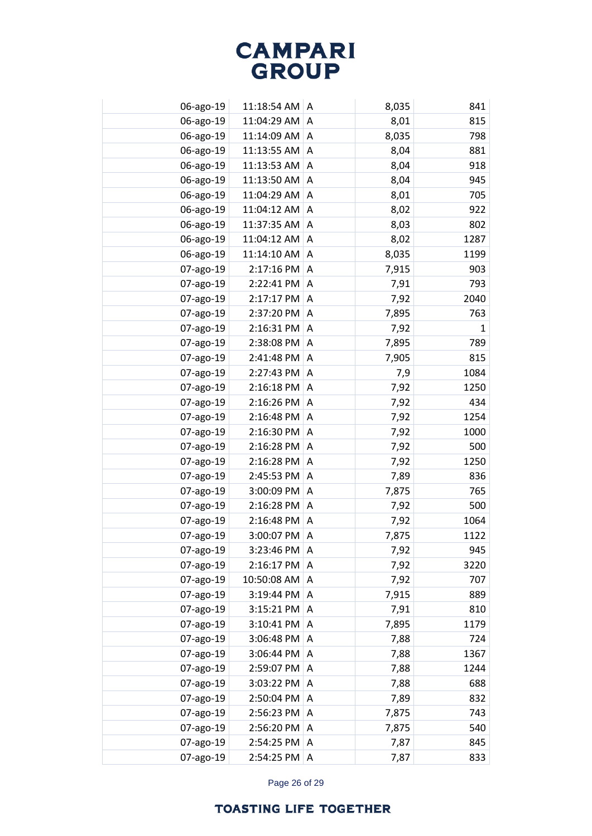| 06-ago-19 | 11:18:54 AM | ۱A | 8,035 | 841          |
|-----------|-------------|----|-------|--------------|
| 06-ago-19 | 11:04:29 AM | A  | 8,01  | 815          |
| 06-ago-19 | 11:14:09 AM | A  | 8,035 | 798          |
| 06-ago-19 | 11:13:55 AM | A  | 8,04  | 881          |
| 06-ago-19 | 11:13:53 AM | A  | 8,04  | 918          |
| 06-ago-19 | 11:13:50 AM | Α  | 8,04  | 945          |
| 06-ago-19 | 11:04:29 AM | A  | 8,01  | 705          |
| 06-ago-19 | 11:04:12 AM | Α  | 8,02  | 922          |
| 06-ago-19 | 11:37:35 AM | Α  | 8,03  | 802          |
| 06-ago-19 | 11:04:12 AM | Α  | 8,02  | 1287         |
| 06-ago-19 | 11:14:10 AM | A  | 8,035 | 1199         |
| 07-ago-19 | 2:17:16 PM  | Α  | 7,915 | 903          |
| 07-ago-19 | 2:22:41 PM  | A  | 7,91  | 793          |
| 07-ago-19 | 2:17:17 PM  | Α  | 7,92  | 2040         |
| 07-ago-19 | 2:37:20 PM  | A  | 7,895 | 763          |
| 07-ago-19 | 2:16:31 PM  | Α  | 7,92  | $\mathbf{1}$ |
| 07-ago-19 | 2:38:08 PM  | A  | 7,895 | 789          |
| 07-ago-19 | 2:41:48 PM  | Α  | 7,905 | 815          |
| 07-ago-19 | 2:27:43 PM  | A  | 7,9   | 1084         |
| 07-ago-19 | 2:16:18 PM  | A  | 7,92  | 1250         |
| 07-ago-19 | 2:16:26 PM  | A  | 7,92  | 434          |
| 07-ago-19 | 2:16:48 PM  | A  | 7,92  | 1254         |
| 07-ago-19 | 2:16:30 PM  | A  | 7,92  | 1000         |
| 07-ago-19 | 2:16:28 PM  | A  | 7,92  | 500          |
| 07-ago-19 | 2:16:28 PM  | A  | 7,92  | 1250         |
| 07-ago-19 | 2:45:53 PM  | A  | 7,89  | 836          |
| 07-ago-19 | 3:00:09 PM  | A  | 7,875 | 765          |
| 07-ago-19 | 2:16:28 PM  | A  | 7,92  | 500          |
| 07-ago-19 | 2:16:48 PM  | A  | 7,92  | 1064         |
| 07-ago-19 | 3:00:07 PM  | A  | 7,875 | 1122         |
| 07-ago-19 | 3:23:46 PM  | A  | 7,92  | 945          |
| 07-ago-19 | 2:16:17 PM  | A  | 7,92  | 3220         |
| 07-ago-19 | 10:50:08 AM | A  | 7,92  | 707          |
| 07-ago-19 | 3:19:44 PM  | A  | 7,915 | 889          |
| 07-ago-19 | 3:15:21 PM  | Α  | 7,91  | 810          |
| 07-ago-19 | 3:10:41 PM  | A  | 7,895 | 1179         |
| 07-ago-19 | 3:06:48 PM  | Α  | 7,88  | 724          |
| 07-ago-19 | 3:06:44 PM  | A  | 7,88  | 1367         |
| 07-ago-19 | 2:59:07 PM  | Α  | 7,88  | 1244         |
| 07-ago-19 | 3:03:22 PM  | Α  | 7,88  | 688          |
| 07-ago-19 | 2:50:04 PM  | Α  | 7,89  | 832          |
| 07-ago-19 | 2:56:23 PM  | Α  | 7,875 | 743          |
| 07-ago-19 | 2:56:20 PM  | Α  | 7,875 | 540          |
| 07-ago-19 | 2:54:25 PM  | Α  | 7,87  | 845          |
| 07-ago-19 | 2:54:25 PM  | Α  | 7,87  | 833          |

Page 26 of 29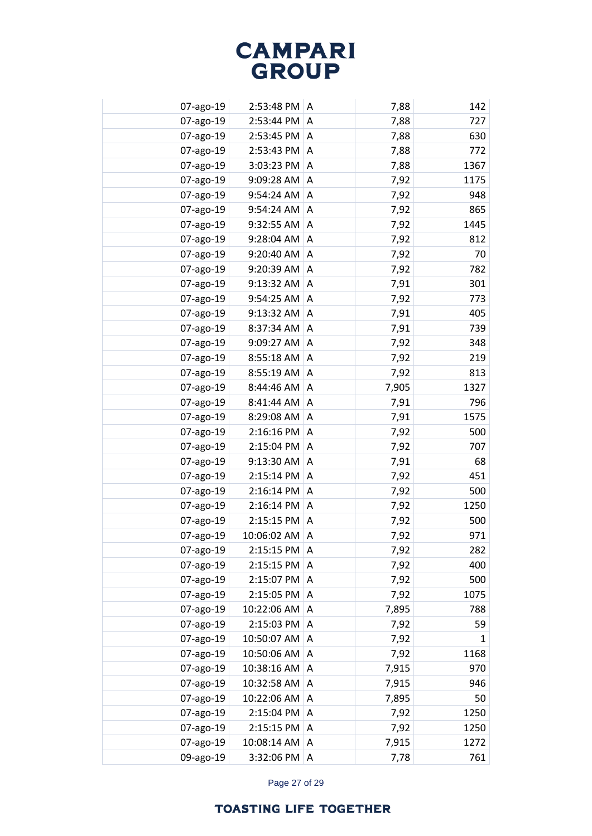| 07-ago-19 | 2:53:48 PM   A |   | 7,88  | 142  |
|-----------|----------------|---|-------|------|
| 07-ago-19 | 2:53:44 PM     | A | 7,88  | 727  |
| 07-ago-19 | 2:53:45 PM     | A | 7,88  | 630  |
| 07-ago-19 | 2:53:43 PM     | A | 7,88  | 772  |
| 07-ago-19 | 3:03:23 PM     | A | 7,88  | 1367 |
| 07-ago-19 | 9:09:28 AM     | A | 7,92  | 1175 |
| 07-ago-19 | 9:54:24 AM     | A | 7,92  | 948  |
| 07-ago-19 | 9:54:24 AM     | A | 7,92  | 865  |
| 07-ago-19 | 9:32:55 AM     | Α | 7,92  | 1445 |
| 07-ago-19 | 9:28:04 AM     | Α | 7,92  | 812  |
| 07-ago-19 | 9:20:40 AM     | Α | 7,92  | 70   |
| 07-ago-19 | 9:20:39 AM     | Α | 7,92  | 782  |
| 07-ago-19 | 9:13:32 AM     | Α | 7,91  | 301  |
| 07-ago-19 | 9:54:25 AM     | Α | 7,92  | 773  |
| 07-ago-19 | 9:13:32 AM     | A | 7,91  | 405  |
| 07-ago-19 | 8:37:34 AM     | Α | 7,91  | 739  |
| 07-ago-19 | 9:09:27 AM     | A | 7,92  | 348  |
| 07-ago-19 | 8:55:18 AM     | Α | 7,92  | 219  |
| 07-ago-19 | 8:55:19 AM     | Α | 7,92  | 813  |
| 07-ago-19 | 8:44:46 AM     | A | 7,905 | 1327 |
| 07-ago-19 | 8:41:44 AM     | A | 7,91  | 796  |
| 07-ago-19 | 8:29:08 AM     | Α | 7,91  | 1575 |
| 07-ago-19 | 2:16:16 PM     | A | 7,92  | 500  |
| 07-ago-19 | 2:15:04 PM     | A | 7,92  | 707  |
| 07-ago-19 | 9:13:30 AM     | A | 7,91  | 68   |
| 07-ago-19 | 2:15:14 PM     | Α | 7,92  | 451  |
| 07-ago-19 | 2:16:14 PM     | A | 7,92  | 500  |
| 07-ago-19 | 2:16:14 PM     | A | 7,92  | 1250 |
| 07-ago-19 | 2:15:15 PM     | A | 7,92  | 500  |
| 07-ago-19 | 10:06:02 AM    | Α | 7,92  | 971  |
| 07-ago-19 | 2:15:15 PM     | A | 7,92  | 282  |
| 07-ago-19 | 2:15:15 PM     | A | 7,92  | 400  |
| 07-ago-19 | 2:15:07 PM     | A | 7,92  | 500  |
| 07-ago-19 | 2:15:05 PM     | A | 7,92  | 1075 |
| 07-ago-19 | 10:22:06 AM    | A | 7,895 | 788  |
| 07-ago-19 | 2:15:03 PM     | A | 7,92  | 59   |
| 07-ago-19 | 10:50:07 AM    | A | 7,92  | 1    |
| 07-ago-19 | 10:50:06 AM    | A | 7,92  | 1168 |
| 07-ago-19 | 10:38:16 AM    | A | 7,915 | 970  |
| 07-ago-19 | 10:32:58 AM    | Α | 7,915 | 946  |
| 07-ago-19 | 10:22:06 AM    | Α | 7,895 | 50   |
| 07-ago-19 | 2:15:04 PM     | Α | 7,92  | 1250 |
| 07-ago-19 | 2:15:15 PM     | A | 7,92  | 1250 |
| 07-ago-19 | 10:08:14 AM    | Α | 7,915 | 1272 |
| 09-ago-19 | 3:32:06 PM     | Α | 7,78  | 761  |

Page 27 of 29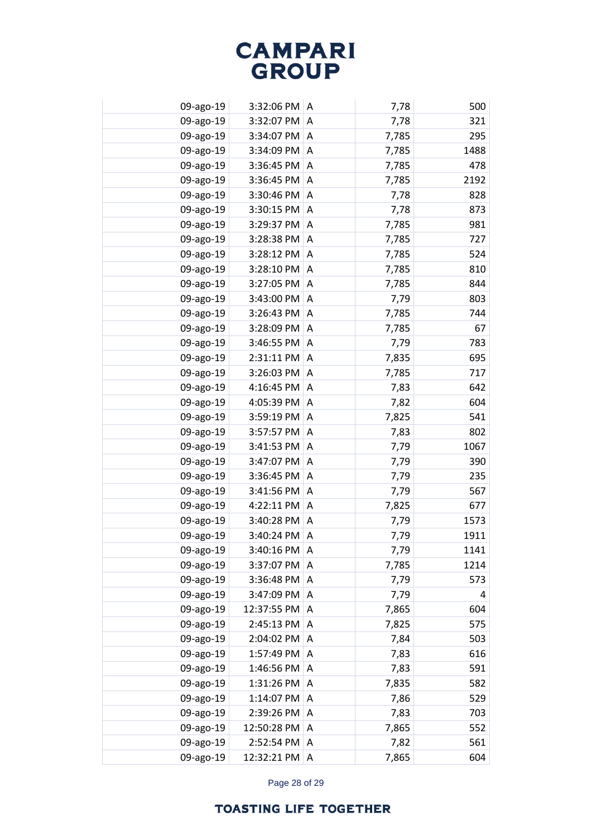| 09-ago-19 | $3:32:06$ PM $\mid$ A |   | 7,78  | 500  |
|-----------|-----------------------|---|-------|------|
| 09-ago-19 | 3:32:07 PM            | A | 7,78  | 321  |
| 09-ago-19 | 3:34:07 PM A          |   | 7,785 | 295  |
| 09-ago-19 | 3:34:09 PM            | A | 7,785 | 1488 |
| 09-ago-19 | 3:36:45 PM            | A | 7,785 | 478  |
| 09-ago-19 | 3:36:45 PM            | A | 7,785 | 2192 |
| 09-ago-19 | 3:30:46 PM            | A | 7,78  | 828  |
| 09-ago-19 | 3:30:15 PM            | A | 7,78  | 873  |
| 09-ago-19 | 3:29:37 PM            | A | 7,785 | 981  |
| 09-ago-19 | 3:28:38 PM            | Α | 7,785 | 727  |
| 09-ago-19 | 3:28:12 PM            | A | 7,785 | 524  |
| 09-ago-19 | 3:28:10 PM            | Α | 7,785 | 810  |
| 09-ago-19 | 3:27:05 PM            | A | 7,785 | 844  |
| 09-ago-19 | 3:43:00 PM            | Α | 7,79  | 803  |
| 09-ago-19 | 3:26:43 PM            | A | 7,785 | 744  |
| 09-ago-19 | 3:28:09 PM            | Α | 7,785 | 67   |
| 09-ago-19 | 3:46:55 PM            | A | 7,79  | 783  |
| 09-ago-19 | 2:31:11 PM            | Α | 7,835 | 695  |
| 09-ago-19 | 3:26:03 PM            | A | 7,785 | 717  |
| 09-ago-19 | 4:16:45 PM            | Α | 7,83  | 642  |
| 09-ago-19 | 4:05:39 PM            | A | 7,82  | 604  |
| 09-ago-19 | 3:59:19 PM            | Α | 7,825 | 541  |
| 09-ago-19 | 3:57:57 PM            | A | 7,83  | 802  |
| 09-ago-19 | 3:41:53 PM            | Α | 7,79  | 1067 |
| 09-ago-19 | 3:47:07 PM            | A | 7,79  | 390  |
| 09-ago-19 | 3:36:45 PM            | A | 7,79  | 235  |
| 09-ago-19 | 3:41:56 PM            | A | 7,79  | 567  |
| 09-ago-19 | 4:22:11 PM            | A | 7,825 | 677  |
| 09-ago-19 | 3:40:28 PM            | A | 7,79  | 1573 |
| 09-ago-19 | 3:40:24 PM            | Α | 7,79  | 1911 |
| 09-ago-19 | 3:40:16 PM            | A | 7,79  | 1141 |
| 09-ago-19 | 3:37:07 PM            | A | 7,785 | 1214 |
| 09-ago-19 | 3:36:48 PM            | A | 7,79  | 573  |
| 09-ago-19 | 3:47:09 PM            | A | 7,79  | 4    |
| 09-ago-19 | 12:37:55 PM           | A | 7,865 | 604  |
| 09-ago-19 | 2:45:13 PM            | A | 7,825 | 575  |
| 09-ago-19 | 2:04:02 PM            | A | 7,84  | 503  |
| 09-ago-19 | 1:57:49 PM            | A | 7,83  | 616  |
| 09-ago-19 | 1:46:56 PM            | Α | 7,83  | 591  |
| 09-ago-19 | 1:31:26 PM            | Α | 7,835 | 582  |
| 09-ago-19 | 1:14:07 PM            | Α | 7,86  | 529  |
| 09-ago-19 | 2:39:26 PM            | A | 7,83  | 703  |
| 09-ago-19 | 12:50:28 PM           | Α | 7,865 | 552  |
| 09-ago-19 | 2:52:54 PM            | Α | 7,82  | 561  |
| 09-ago-19 | 12:32:21 PM           | Α | 7,865 | 604  |
|           |                       |   |       |      |

Page 28 of 29